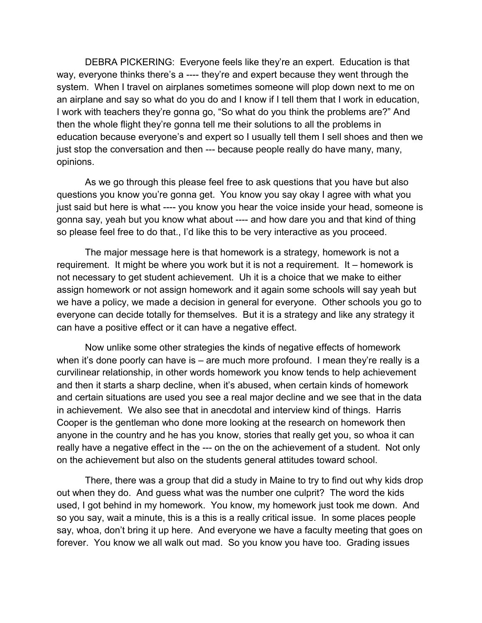DEBRA PICKERING: Everyone feels like they're an expert. Education is that way, everyone thinks there's a ---- they're and expert because they went through the system. When I travel on airplanes sometimes someone will plop down next to me on an airplane and say so what do you do and I know if I tell them that I work in education, I work with teachers they're gonna go, "So what do you think the problems are?" And then the whole flight they're gonna tell me their solutions to all the problems in education because everyone's and expert so I usually tell them I sell shoes and then we just stop the conversation and then --- because people really do have many, many, opinions.

As we go through this please feel free to ask questions that you have but also questions you know you're gonna get. You know you say okay I agree with what you just said but here is what ---- you know you hear the voice inside your head, someone is gonna say, yeah but you know what about ---- and how dare you and that kind of thing so please feel free to do that., I'd like this to be very interactive as you proceed.

The major message here is that homework is a strategy, homework is not a requirement. It might be where you work but it is not a requirement. It – homework is not necessary to get student achievement. Uh it is a choice that we make to either assign homework or not assign homework and it again some schools will say yeah but we have a policy, we made a decision in general for everyone. Other schools you go to everyone can decide totally for themselves. But it is a strategy and like any strategy it can have a positive effect or it can have a negative effect.

Now unlike some other strategies the kinds of negative effects of homework when it's done poorly can have is  $-$  are much more profound. I mean they're really is a curvilinear relationship, in other words homework you know tends to help achievement and then it starts a sharp decline, when it's abused, when certain kinds of homework and certain situations are used you see a real major decline and we see that in the data in achievement. We also see that in anecdotal and interview kind of things. Harris Cooper is the gentleman who done more looking at the research on homework then anyone in the country and he has you know, stories that really get you, so whoa it can really have a negative effect in the --- on the on the achievement of a student. Not only on the achievement but also on the students general attitudes toward school.

There, there was a group that did a study in Maine to try to find out why kids drop out when they do. And guess what was the number one culprit? The word the kids used, I got behind in my homework. You know, my homework just took me down. And so you say, wait a minute, this is a this is a really critical issue. In some places people say, whoa, don't bring it up here. And everyone we have a faculty meeting that goes on forever. You know we all walk out mad. So you know you have too. Grading issues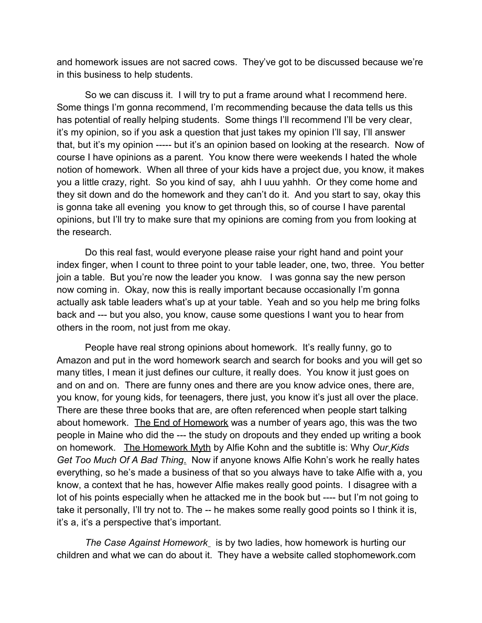and homework issues are not sacred cows. They've got to be discussed because we're in this business to help students.

So we can discuss it. I will try to put a frame around what I recommend here. Some things I'm gonna recommend, I'm recommending because the data tells us this has potential of really helping students. Some things I'll recommend I'll be very clear, it's my opinion, so if you ask a question that just takes my opinion I'll say, I'll answer that, but it's my opinion ----- but it's an opinion based on looking at the research. Now of course I have opinions as a parent. You know there were weekends I hated the whole notion of homework. When all three of your kids have a project due, you know, it makes you a little crazy, right. So you kind of say, ahh I uuu yahhh. Or they come home and they sit down and do the homework and they can't do it. And you start to say, okay this is gonna take all evening you know to get through this, so of course I have parental opinions, but I'll try to make sure that my opinions are coming from you from looking at the research.

Do this real fast, would everyone please raise your right hand and point your index finger, when I count to three point to your table leader, one, two, three. You better join a table. But you're now the leader you know. I was gonna say the new person now coming in. Okay, now this is really important because occasionally I'm gonna actually ask table leaders what's up at your table. Yeah and so you help me bring folks back and --- but you also, you know, cause some questions I want you to hear from others in the room, not just from me okay.

People have real strong opinions about homework. It's really funny, go to Amazon and put in the word homework search and search for books and you will get so many titles, I mean it just defines our culture, it really does. You know it just goes on and on and on. There are funny ones and there are you know advice ones, there are, you know, for young kids, for teenagers, there just, you know it's just all over the place. There are these three books that are, are often referenced when people start talking about homework. The End of Homework was a number of years ago, this was the two people in Maine who did the --- the study on dropouts and they ended up writing a book on homework. The Homework Myth by Alfie Kohn and the subtitle is: Why *Our Kids Get Too Much Of A Bad Thing*. Now if anyone knows Alfie Kohn's work he really hates everything, so he's made a business of that so you always have to take Alfie with a, you know, a context that he has, however Alfie makes really good points. I disagree with a lot of his points especially when he attacked me in the book but ---- but I'm not going to take it personally, I'll try not to. The -- he makes some really good points so I think it is, it's a, it's a perspective that's important.

*The Case Against Homework* is by two ladies, how homework is hurting our children and what we can do about it. They have a website called stophomework.com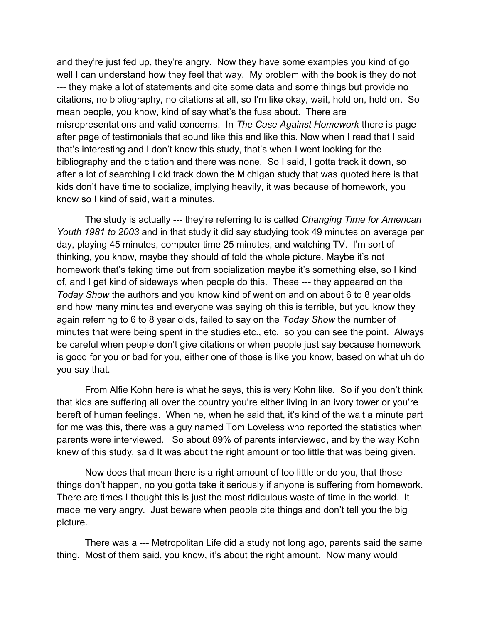and they're just fed up, they're angry. Now they have some examples you kind of go well I can understand how they feel that way. My problem with the book is they do not --- they make a lot of statements and cite some data and some things but provide no citations, no bibliography, no citations at all, so I'm like okay, wait, hold on, hold on. So mean people, you know, kind of say what's the fuss about. There are misrepresentations and valid concerns. In *The Case Against Homework* there is page after page of testimonials that sound like this and like this. Now when I read that I said that's interesting and I don't know this study, that's when I went looking for the bibliography and the citation and there was none. So I said, I gotta track it down, so after a lot of searching I did track down the Michigan study that was quoted here is that kids don't have time to socialize, implying heavily, it was because of homework, you know so I kind of said, wait a minutes.

The study is actually --- they're referring to is called *Changing Time for American Youth 1981 to 2003* and in that study it did say studying took 49 minutes on average per day, playing 45 minutes, computer time 25 minutes, and watching TV. I'm sort of thinking, you know, maybe they should of told the whole picture. Maybe it's not homework that's taking time out from socialization maybe it's something else, so I kind of, and I get kind of sideways when people do this. These --- they appeared on the *Today Show* the authors and you know kind of went on and on about 6 to 8 year olds and how many minutes and everyone was saying oh this is terrible, but you know they again referring to 6 to 8 year olds, failed to say on the *Today Show* the number of minutes that were being spent in the studies etc., etc. so you can see the point. Always be careful when people don't give citations or when people just say because homework is good for you or bad for you, either one of those is like you know, based on what uh do you say that.

From Alfie Kohn here is what he says, this is very Kohn like. So if you don't think that kids are suffering all over the country you're either living in an ivory tower or you're bereft of human feelings. When he, when he said that, it's kind of the wait a minute part for me was this, there was a guy named Tom Loveless who reported the statistics when parents were interviewed. So about 89% of parents interviewed, and by the way Kohn knew of this study, said It was about the right amount or too little that was being given.

Now does that mean there is a right amount of too little or do you, that those things don't happen, no you gotta take it seriously if anyone is suffering from homework. There are times I thought this is just the most ridiculous waste of time in the world. It made me very angry. Just beware when people cite things and don't tell you the big picture.

There was a --- Metropolitan Life did a study not long ago, parents said the same thing. Most of them said, you know, it's about the right amount. Now many would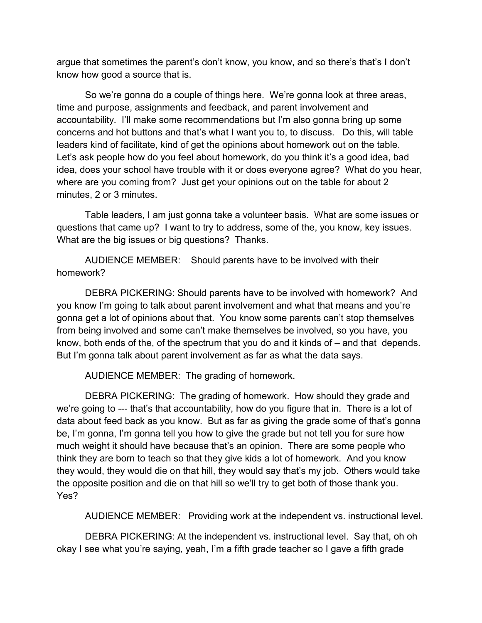argue that sometimes the parent's don't know, you know, and so there's that's I don't know how good a source that is.

So we're gonna do a couple of things here. We're gonna look at three areas, time and purpose, assignments and feedback, and parent involvement and accountability. I'll make some recommendations but I'm also gonna bring up some concerns and hot buttons and that's what I want you to, to discuss. Do this, will table leaders kind of facilitate, kind of get the opinions about homework out on the table. Let's ask people how do you feel about homework, do you think it's a good idea, bad idea, does your school have trouble with it or does everyone agree? What do you hear, where are you coming from? Just get your opinions out on the table for about 2 minutes, 2 or 3 minutes.

Table leaders, I am just gonna take a volunteer basis. What are some issues or questions that came up? I want to try to address, some of the, you know, key issues. What are the big issues or big questions? Thanks.

AUDIENCE MEMBER: Should parents have to be involved with their homework?

DEBRA PICKERING: Should parents have to be involved with homework? And you know I'm going to talk about parent involvement and what that means and you're gonna get a lot of opinions about that. You know some parents can't stop themselves from being involved and some can't make themselves be involved, so you have, you know, both ends of the, of the spectrum that you do and it kinds of – and that depends. But I'm gonna talk about parent involvement as far as what the data says.

AUDIENCE MEMBER: The grading of homework.

DEBRA PICKERING: The grading of homework. How should they grade and we're going to --- that's that accountability, how do you figure that in. There is a lot of data about feed back as you know. But as far as giving the grade some of that's gonna be, I'm gonna, I'm gonna tell you how to give the grade but not tell you for sure how much weight it should have because that's an opinion. There are some people who think they are born to teach so that they give kids a lot of homework. And you know they would, they would die on that hill, they would say that's my job. Others would take the opposite position and die on that hill so we'll try to get both of those thank you. Yes?

AUDIENCE MEMBER: Providing work at the independent vs. instructional level.

DEBRA PICKERING: At the independent vs. instructional level. Say that, oh oh okay I see what you're saying, yeah, I'm a fifth grade teacher so I gave a fifth grade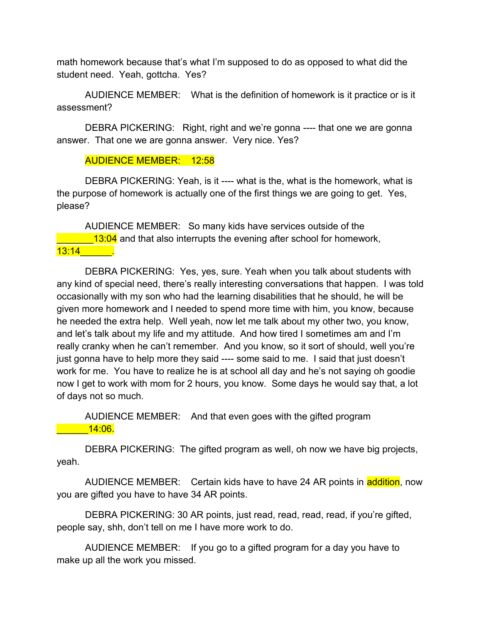math homework because that's what I'm supposed to do as opposed to what did the student need. Yeah, gottcha. Yes?

AUDIENCE MEMBER: What is the definition of homework is it practice or is it assessment?

DEBRA PICKERING: Right, right and we're gonna ---- that one we are gonna answer. That one we are gonna answer. Very nice. Yes?

## AUDIENCE MEMBER: 12:58

DEBRA PICKERING: Yeah, is it ---- what is the, what is the homework, what is the purpose of homework is actually one of the first things we are going to get. Yes, please?

AUDIENCE MEMBER: So many kids have services outside of the **EXECO** 13:04 and that also interrupts the evening after school for homework, 13:14\_\_\_\_\_\_.

DEBRA PICKERING: Yes, yes, sure. Yeah when you talk about students with any kind of special need, there's really interesting conversations that happen. I was told occasionally with my son who had the learning disabilities that he should, he will be given more homework and I needed to spend more time with him, you know, because he needed the extra help. Well yeah, now let me talk about my other two, you know, and let's talk about my life and my attitude. And how tired I sometimes am and I'm really cranky when he can't remember. And you know, so it sort of should, well you're just gonna have to help more they said ---- some said to me. I said that just doesn't work for me. You have to realize he is at school all day and he's not saying oh goodie now I get to work with mom for 2 hours, you know. Some days he would say that, a lot of days not so much.

AUDIENCE MEMBER: And that even goes with the gifted program \_\_\_\_\_\_14:06.

DEBRA PICKERING: The gifted program as well, oh now we have big projects, yeah.

AUDIENCE MEMBER: Certain kids have to have 24 AR points in addition, now you are gifted you have to have 34 AR points.

DEBRA PICKERING: 30 AR points, just read, read, read, read, if you're gifted, people say, shh, don't tell on me I have more work to do.

AUDIENCE MEMBER: If you go to a gifted program for a day you have to make up all the work you missed.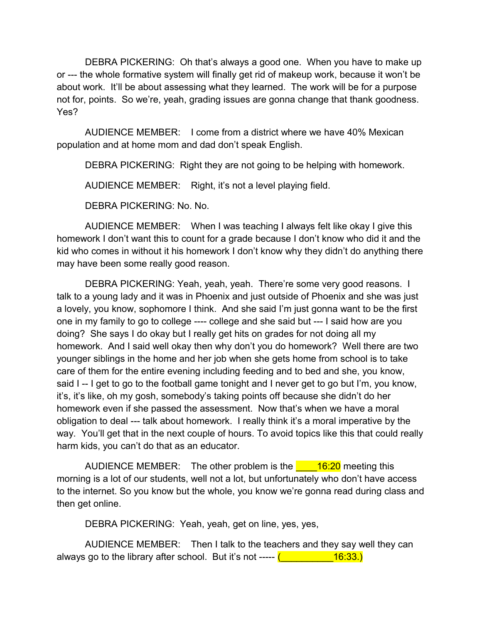DEBRA PICKERING: Oh that's always a good one. When you have to make up or --- the whole formative system will finally get rid of makeup work, because it won't be about work. It'll be about assessing what they learned. The work will be for a purpose not for, points. So we're, yeah, grading issues are gonna change that thank goodness. Yes?

AUDIENCE MEMBER: I come from a district where we have 40% Mexican population and at home mom and dad don't speak English.

DEBRA PICKERING: Right they are not going to be helping with homework.

AUDIENCE MEMBER: Right, it's not a level playing field.

DEBRA PICKERING: No. No.

AUDIENCE MEMBER: When I was teaching I always felt like okay I give this homework I don't want this to count for a grade because I don't know who did it and the kid who comes in without it his homework I don't know why they didn't do anything there may have been some really good reason.

DEBRA PICKERING: Yeah, yeah, yeah. There're some very good reasons. I talk to a young lady and it was in Phoenix and just outside of Phoenix and she was just a lovely, you know, sophomore I think. And she said I'm just gonna want to be the first one in my family to go to college ---- college and she said but --- I said how are you doing? She says I do okay but I really get hits on grades for not doing all my homework. And I said well okay then why don't you do homework? Well there are two younger siblings in the home and her job when she gets home from school is to take care of them for the entire evening including feeding and to bed and she, you know, said I -- I get to go to the football game tonight and I never get to go but I'm, you know, it's, it's like, oh my gosh, somebody's taking points off because she didn't do her homework even if she passed the assessment. Now that's when we have a moral obligation to deal --- talk about homework. I really think it's a moral imperative by the way. You'll get that in the next couple of hours. To avoid topics like this that could really harm kids, you can't do that as an educator.

AUDIENCE MEMBER: The other problem is the  $\frac{16.20}{\text{m}}$  meeting this morning is a lot of our students, well not a lot, but unfortunately who don't have access to the internet. So you know but the whole, you know we're gonna read during class and then get online.

DEBRA PICKERING: Yeah, yeah, get on line, yes, yes,

AUDIENCE MEMBER: Then I talk to the teachers and they say well they can always go to the library after school. But it's not -----  $($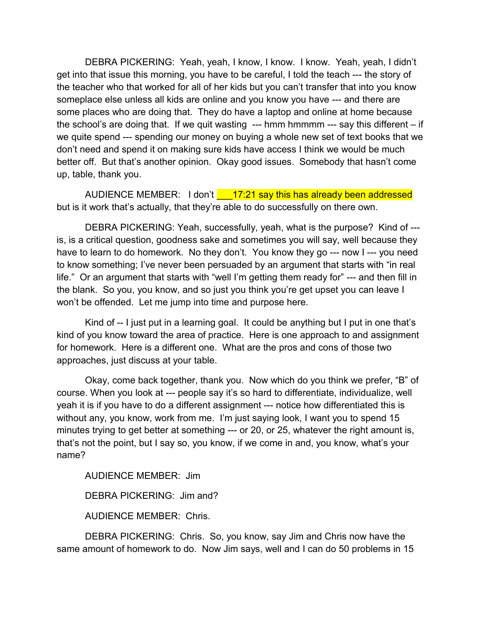DEBRA PICKERING: Yeah, yeah, I know, I know. I know. Yeah, yeah, I didn't get into that issue this morning, you have to be careful, I told the teach --- the story of the teacher who that worked for all of her kids but you can't transfer that into you know someplace else unless all kids are online and you know you have --- and there are some places who are doing that. They do have a laptop and online at home because the school's are doing that. If we quit wasting --- hmm hmmmm --- say this different – if we quite spend --- spending our money on buying a whole new set of text books that we don't need and spend it on making sure kids have access I think we would be much better off. But that's another opinion. Okay good issues. Somebody that hasn't come up, table, thank you.

AUDIENCE MEMBER: I don't 17:21 say this has already been addressed but is it work that's actually, that they're able to do successfully on there own.

DEBRA PICKERING: Yeah, successfully, yeah, what is the purpose? Kind of -- is, is a critical question, goodness sake and sometimes you will say, well because they have to learn to do homework. No they don't. You know they go --- now I --- you need to know something; I've never been persuaded by an argument that starts with "in real life." Or an argument that starts with "well I'm getting them ready for" --- and then fill in the blank. So you, you know, and so just you think you're get upset you can leave I won't be offended. Let me jump into time and purpose here.

Kind of -- I just put in a learning goal. It could be anything but I put in one that's kind of you know toward the area of practice. Here is one approach to and assignment for homework. Here is a different one. What are the pros and cons of those two approaches, just discuss at your table.

Okay, come back together, thank you. Now which do you think we prefer, "B" of course. When you look at --- people say it's so hard to differentiate, individualize, well yeah it is if you have to do a different assignment --- notice how differentiated this is without any, you know, work from me. I'm just saying look, I want you to spend 15 minutes trying to get better at something --- or 20, or 25, whatever the right amount is, that's not the point, but I say so, you know, if we come in and, you know, what's your name?

AUDIENCE MEMBER: Jim

DEBRA PICKERING: Jim and?

AUDIENCE MEMBER: Chris.

DEBRA PICKERING: Chris. So, you know, say Jim and Chris now have the same amount of homework to do. Now Jim says, well and I can do 50 problems in 15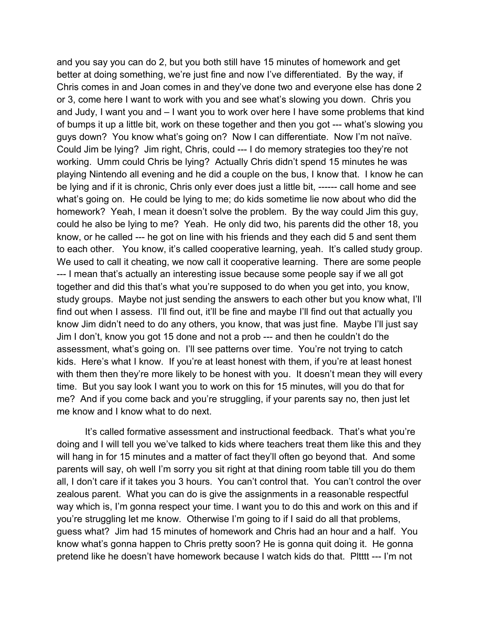and you say you can do 2, but you both still have 15 minutes of homework and get better at doing something, we're just fine and now I've differentiated. By the way, if Chris comes in and Joan comes in and they've done two and everyone else has done 2 or 3, come here I want to work with you and see what's slowing you down. Chris you and Judy, I want you and – I want you to work over here I have some problems that kind of bumps it up a little bit, work on these together and then you got --- what's slowing you guys down? You know what's going on? Now I can differentiate. Now I'm not naïve. Could Jim be lying? Jim right, Chris, could --- I do memory strategies too they're not working. Umm could Chris be lying? Actually Chris didn't spend 15 minutes he was playing Nintendo all evening and he did a couple on the bus, I know that. I know he can be lying and if it is chronic, Chris only ever does just a little bit, ------ call home and see what's going on. He could be lying to me; do kids sometime lie now about who did the homework? Yeah, I mean it doesn't solve the problem. By the way could Jim this guy, could he also be lying to me? Yeah. He only did two, his parents did the other 18, you know, or he called --- he got on line with his friends and they each did 5 and sent them to each other. You know, it's called cooperative learning, yeah. It's called study group. We used to call it cheating, we now call it cooperative learning. There are some people --- I mean that's actually an interesting issue because some people say if we all got together and did this that's what you're supposed to do when you get into, you know, study groups. Maybe not just sending the answers to each other but you know what, I'll find out when I assess. I'll find out, it'll be fine and maybe I'll find out that actually you know Jim didn't need to do any others, you know, that was just fine. Maybe I'll just say Jim I don't, know you got 15 done and not a prob --- and then he couldn't do the assessment, what's going on. I'll see patterns over time. You're not trying to catch kids. Here's what I know. If you're at least honest with them, if you're at least honest with them then they're more likely to be honest with you. It doesn't mean they will every time. But you say look I want you to work on this for 15 minutes, will you do that for me? And if you come back and you're struggling, if your parents say no, then just let me know and I know what to do next.

It's called formative assessment and instructional feedback. That's what you're doing and I will tell you we've talked to kids where teachers treat them like this and they will hang in for 15 minutes and a matter of fact they'll often go beyond that. And some parents will say, oh well I'm sorry you sit right at that dining room table till you do them all, I don't care if it takes you 3 hours. You can't control that. You can't control the over zealous parent. What you can do is give the assignments in a reasonable respectful way which is, I'm gonna respect your time. I want you to do this and work on this and if you're struggling let me know. Otherwise I'm going to if I said do all that problems, guess what? Jim had 15 minutes of homework and Chris had an hour and a half. You know what's gonna happen to Chris pretty soon? He is gonna quit doing it. He gonna pretend like he doesn't have homework because I watch kids do that. Pltttt --- I'm not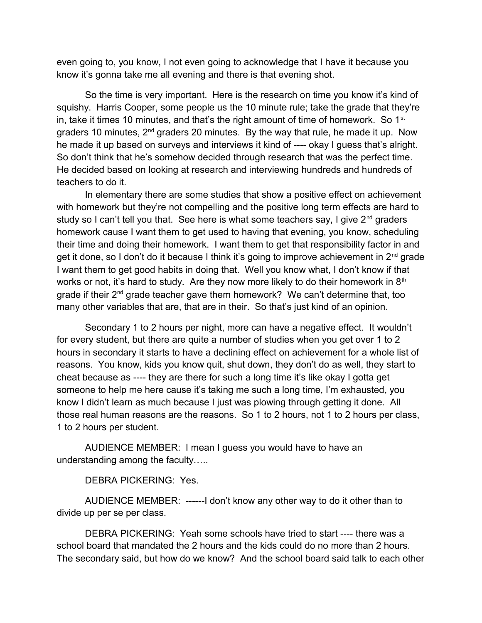even going to, you know, I not even going to acknowledge that I have it because you know it's gonna take me all evening and there is that evening shot.

So the time is very important. Here is the research on time you know it's kind of squishy. Harris Cooper, some people us the 10 minute rule; take the grade that they're in, take it times 10 minutes, and that's the right amount of time of homework. So  $1<sup>st</sup>$ graders 10 minutes,  $2^{nd}$  graders 20 minutes. By the way that rule, he made it up. Now he made it up based on surveys and interviews it kind of ---- okay I guess that's alright. So don't think that he's somehow decided through research that was the perfect time. He decided based on looking at research and interviewing hundreds and hundreds of teachers to do it.

In elementary there are some studies that show a positive effect on achievement with homework but they're not compelling and the positive long term effects are hard to study so I can't tell you that. See here is what some teachers say, I give  $2^{nd}$  graders homework cause I want them to get used to having that evening, you know, scheduling their time and doing their homework. I want them to get that responsibility factor in and get it done, so I don't do it because I think it's going to improve achievement in  $2<sup>nd</sup>$  grade I want them to get good habits in doing that. Well you know what, I don't know if that works or not, it's hard to study. Are they now more likely to do their homework in  $8<sup>th</sup>$ grade if their  $2^{nd}$  grade teacher gave them homework? We can't determine that, too many other variables that are, that are in their. So that's just kind of an opinion.

Secondary 1 to 2 hours per night, more can have a negative effect. It wouldn't for every student, but there are quite a number of studies when you get over 1 to 2 hours in secondary it starts to have a declining effect on achievement for a whole list of reasons. You know, kids you know quit, shut down, they don't do as well, they start to cheat because as ---- they are there for such a long time it's like okay I gotta get someone to help me here cause it's taking me such a long time, I'm exhausted, you know I didn't learn as much because I just was plowing through getting it done. All those real human reasons are the reasons. So 1 to 2 hours, not 1 to 2 hours per class, 1 to 2 hours per student.

AUDIENCE MEMBER: I mean I guess you would have to have an understanding among the faculty…..

DEBRA PICKERING: Yes.

AUDIENCE MEMBER: ------I don't know any other way to do it other than to divide up per se per class.

DEBRA PICKERING: Yeah some schools have tried to start ---- there was a school board that mandated the 2 hours and the kids could do no more than 2 hours. The secondary said, but how do we know? And the school board said talk to each other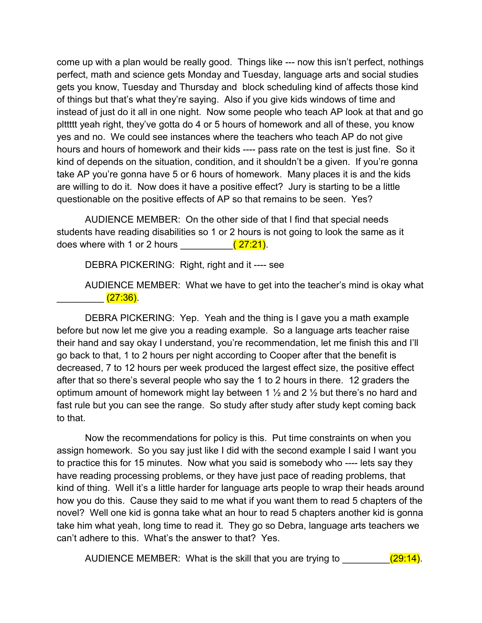come up with a plan would be really good. Things like --- now this isn't perfect, nothings perfect, math and science gets Monday and Tuesday, language arts and social studies gets you know, Tuesday and Thursday and block scheduling kind of affects those kind of things but that's what they're saying. Also if you give kids windows of time and instead of just do it all in one night. Now some people who teach AP look at that and go plttttt yeah right, they've gotta do 4 or 5 hours of homework and all of these, you know yes and no. We could see instances where the teachers who teach AP do not give hours and hours of homework and their kids ---- pass rate on the test is just fine. So it kind of depends on the situation, condition, and it shouldn't be a given. If you're gonna take AP you're gonna have 5 or 6 hours of homework. Many places it is and the kids are willing to do it. Now does it have a positive effect? Jury is starting to be a little questionable on the positive effects of AP so that remains to be seen. Yes?

AUDIENCE MEMBER: On the other side of that I find that special needs students have reading disabilities so 1 or 2 hours is not going to look the same as it does where with 1 or 2 hours  $(27:21)$ .

DEBRA PICKERING: Right, right and it ---- see

AUDIENCE MEMBER: What we have to get into the teacher's mind is okay what \_\_\_\_\_\_ <mark>(27:36)</mark>.

DEBRA PICKERING: Yep. Yeah and the thing is I gave you a math example before but now let me give you a reading example. So a language arts teacher raise their hand and say okay I understand, you're recommendation, let me finish this and I'll go back to that, 1 to 2 hours per night according to Cooper after that the benefit is decreased, 7 to 12 hours per week produced the largest effect size, the positive effect after that so there's several people who say the 1 to 2 hours in there. 12 graders the optimum amount of homework might lay between 1 ½ and 2 ½ but there's no hard and fast rule but you can see the range. So study after study after study kept coming back to that.

Now the recommendations for policy is this. Put time constraints on when you assign homework. So you say just like I did with the second example I said I want you to practice this for 15 minutes. Now what you said is somebody who ---- lets say they have reading processing problems, or they have just pace of reading problems, that kind of thing. Well it's a little harder for language arts people to wrap their heads around how you do this. Cause they said to me what if you want them to read 5 chapters of the novel? Well one kid is gonna take what an hour to read 5 chapters another kid is gonna take him what yeah, long time to read it. They go so Debra, language arts teachers we can't adhere to this. What's the answer to that? Yes.

AUDIENCE MEMBER: What is the skill that you are trying to **ACCOL** (29:14).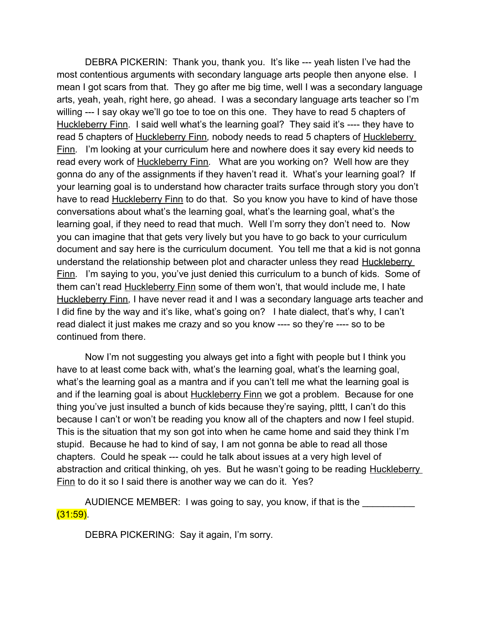DEBRA PICKERIN: Thank you, thank you. It's like --- yeah listen I've had the most contentious arguments with secondary language arts people then anyone else. I mean I got scars from that. They go after me big time, well I was a secondary language arts, yeah, yeah, right here, go ahead. I was a secondary language arts teacher so I'm willing --- I say okay we'll go toe to toe on this one. They have to read 5 chapters of Huckleberry Finn*.* I said well what's the learning goal? They said it's ---- they have to read 5 chapters of Huckleberry Finn*,* nobody needs to read 5 chapters of Huckleberry Finn*.* I'm looking at your curriculum here and nowhere does it say every kid needs to read every work of Huckleberry Finn*.* What are you working on? Well how are they gonna do any of the assignments if they haven't read it. What's your learning goal? If your learning goal is to understand how character traits surface through story you don't have to read Huckleberry Finn to do that. So you know you have to kind of have those conversations about what's the learning goal, what's the learning goal, what's the learning goal, if they need to read that much. Well I'm sorry they don't need to. Now you can imagine that that gets very lively but you have to go back to your curriculum document and say here is the curriculum document. You tell me that a kid is not gonna understand the relationship between plot and character unless they read Huckleberry Finn*.* I'm saying to you, you've just denied this curriculum to a bunch of kids. Some of them can't read Huckleberry Finn some of them won't, that would include me, I hate Huckleberry Finn*,* I have never read it and I was a secondary language arts teacher and I did fine by the way and it's like, what's going on? I hate dialect, that's why, I can't read dialect it just makes me crazy and so you know ---- so they're ---- so to be continued from there.

Now I'm not suggesting you always get into a fight with people but I think you have to at least come back with, what's the learning goal, what's the learning goal, what's the learning goal as a mantra and if you can't tell me what the learning goal is and if the learning goal is about Huckleberry Finn we got a problem. Because for one thing you've just insulted a bunch of kids because they're saying, plttt, I can't do this because I can't or won't be reading you know all of the chapters and now I feel stupid. This is the situation that my son got into when he came home and said they think I'm stupid. Because he had to kind of say, I am not gonna be able to read all those chapters. Could he speak --- could he talk about issues at a very high level of abstraction and critical thinking, oh yes. But he wasn't going to be reading Huckleberry Finn to do it so I said there is another way we can do it. Yes?

AUDIENCE MEMBER: I was going to say, you know, if that is the  $(31:59)$ .

DEBRA PICKERING: Say it again, I'm sorry.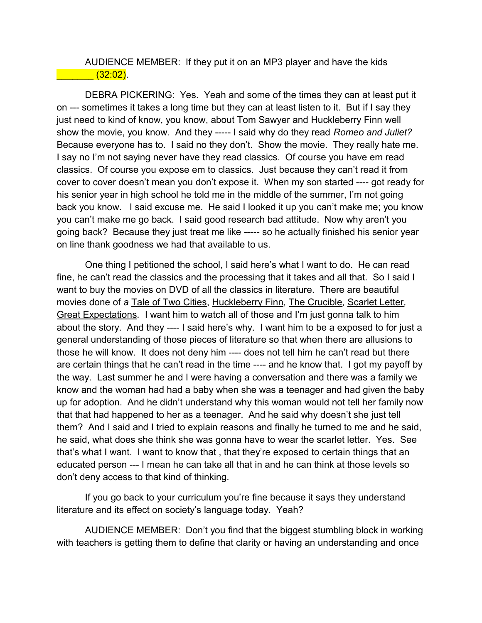AUDIENCE MEMBER: If they put it on an MP3 player and have the kids  $\sim$  (32:02).

DEBRA PICKERING: Yes. Yeah and some of the times they can at least put it on --- sometimes it takes a long time but they can at least listen to it. But if I say they just need to kind of know, you know, about Tom Sawyer and Huckleberry Finn well show the movie, you know. And they ----- I said why do they read *Romeo and Juliet?* Because everyone has to. I said no they don't. Show the movie. They really hate me. I say no I'm not saying never have they read classics. Of course you have em read classics. Of course you expose em to classics. Just because they can't read it from cover to cover doesn't mean you don't expose it. When my son started ---- got ready for his senior year in high school he told me in the middle of the summer, I'm not going back you know. I said excuse me. He said I looked it up you can't make me; you know you can't make me go back. I said good research bad attitude. Now why aren't you going back? Because they just treat me like ----- so he actually finished his senior year on line thank goodness we had that available to us.

One thing I petitioned the school, I said here's what I want to do. He can read fine, he can't read the classics and the processing that it takes and all that. So I said I want to buy the movies on DVD of all the classics in literature. There are beautiful movies done of *a* Tale of Two Cities, Huckleberry Finn*,* The Crucible*,* Scarlet Letter*,* Great Expectations*.* I want him to watch all of those and I'm just gonna talk to him about the story. And they ---- I said here's why. I want him to be a exposed to for just a general understanding of those pieces of literature so that when there are allusions to those he will know. It does not deny him ---- does not tell him he can't read but there are certain things that he can't read in the time ---- and he know that. I got my payoff by the way. Last summer he and I were having a conversation and there was a family we know and the woman had had a baby when she was a teenager and had given the baby up for adoption. And he didn't understand why this woman would not tell her family now that that had happened to her as a teenager. And he said why doesn't she just tell them? And I said and I tried to explain reasons and finally he turned to me and he said, he said, what does she think she was gonna have to wear the scarlet letter. Yes. See that's what I want. I want to know that , that they're exposed to certain things that an educated person --- I mean he can take all that in and he can think at those levels so don't deny access to that kind of thinking.

If you go back to your curriculum you're fine because it says they understand literature and its effect on society's language today. Yeah?

AUDIENCE MEMBER: Don't you find that the biggest stumbling block in working with teachers is getting them to define that clarity or having an understanding and once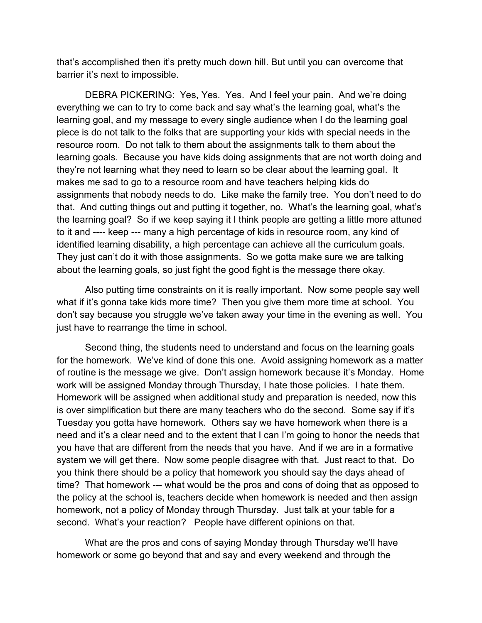that's accomplished then it's pretty much down hill. But until you can overcome that barrier it's next to impossible.

DEBRA PICKERING: Yes, Yes. Yes. And I feel your pain. And we're doing everything we can to try to come back and say what's the learning goal, what's the learning goal, and my message to every single audience when I do the learning goal piece is do not talk to the folks that are supporting your kids with special needs in the resource room. Do not talk to them about the assignments talk to them about the learning goals. Because you have kids doing assignments that are not worth doing and they're not learning what they need to learn so be clear about the learning goal. It makes me sad to go to a resource room and have teachers helping kids do assignments that nobody needs to do. Like make the family tree. You don't need to do that. And cutting things out and putting it together, no. What's the learning goal, what's the learning goal? So if we keep saying it I think people are getting a little more attuned to it and ---- keep --- many a high percentage of kids in resource room, any kind of identified learning disability, a high percentage can achieve all the curriculum goals. They just can't do it with those assignments. So we gotta make sure we are talking about the learning goals, so just fight the good fight is the message there okay.

Also putting time constraints on it is really important. Now some people say well what if it's gonna take kids more time? Then you give them more time at school. You don't say because you struggle we've taken away your time in the evening as well. You just have to rearrange the time in school.

Second thing, the students need to understand and focus on the learning goals for the homework. We've kind of done this one. Avoid assigning homework as a matter of routine is the message we give. Don't assign homework because it's Monday. Home work will be assigned Monday through Thursday, I hate those policies. I hate them. Homework will be assigned when additional study and preparation is needed, now this is over simplification but there are many teachers who do the second. Some say if it's Tuesday you gotta have homework. Others say we have homework when there is a need and it's a clear need and to the extent that I can I'm going to honor the needs that you have that are different from the needs that you have. And if we are in a formative system we will get there. Now some people disagree with that. Just react to that. Do you think there should be a policy that homework you should say the days ahead of time? That homework --- what would be the pros and cons of doing that as opposed to the policy at the school is, teachers decide when homework is needed and then assign homework, not a policy of Monday through Thursday. Just talk at your table for a second. What's your reaction? People have different opinions on that.

What are the pros and cons of saying Monday through Thursday we'll have homework or some go beyond that and say and every weekend and through the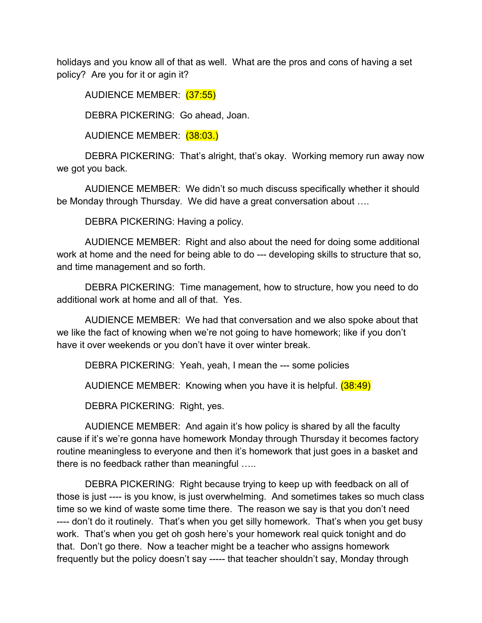holidays and you know all of that as well. What are the pros and cons of having a set policy? Are you for it or agin it?

AUDIENCE MEMBER: (37:55)

DEBRA PICKERING: Go ahead, Joan.

AUDIENCE MEMBER: (38:03.)

DEBRA PICKERING: That's alright, that's okay. Working memory run away now we got you back.

AUDIENCE MEMBER: We didn't so much discuss specifically whether it should be Monday through Thursday. We did have a great conversation about ….

DEBRA PICKERING: Having a policy.

AUDIENCE MEMBER: Right and also about the need for doing some additional work at home and the need for being able to do --- developing skills to structure that so, and time management and so forth.

DEBRA PICKERING: Time management, how to structure, how you need to do additional work at home and all of that. Yes.

AUDIENCE MEMBER: We had that conversation and we also spoke about that we like the fact of knowing when we're not going to have homework; like if you don't have it over weekends or you don't have it over winter break.

DEBRA PICKERING: Yeah, yeah, I mean the --- some policies

AUDIENCE MEMBER: Knowing when you have it is helpful. (38:49)

DEBRA PICKERING: Right, yes.

AUDIENCE MEMBER: And again it's how policy is shared by all the faculty cause if it's we're gonna have homework Monday through Thursday it becomes factory routine meaningless to everyone and then it's homework that just goes in a basket and there is no feedback rather than meaningful …..

DEBRA PICKERING: Right because trying to keep up with feedback on all of those is just ---- is you know, is just overwhelming. And sometimes takes so much class time so we kind of waste some time there. The reason we say is that you don't need ---- don't do it routinely. That's when you get silly homework. That's when you get busy work. That's when you get oh gosh here's your homework real quick tonight and do that. Don't go there. Now a teacher might be a teacher who assigns homework frequently but the policy doesn't say ----- that teacher shouldn't say, Monday through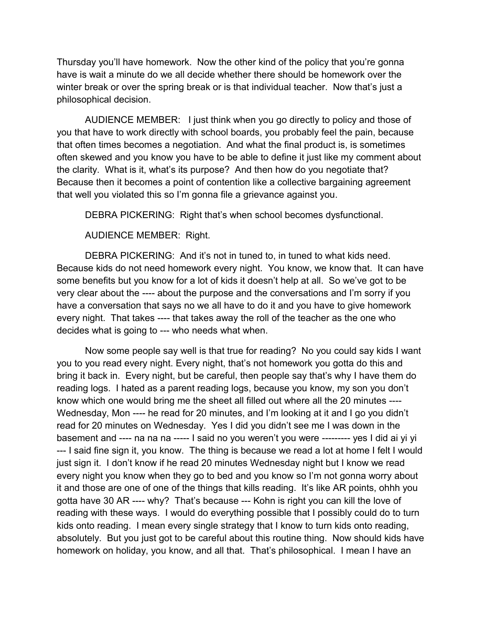Thursday you'll have homework. Now the other kind of the policy that you're gonna have is wait a minute do we all decide whether there should be homework over the winter break or over the spring break or is that individual teacher. Now that's just a philosophical decision.

AUDIENCE MEMBER: I just think when you go directly to policy and those of you that have to work directly with school boards, you probably feel the pain, because that often times becomes a negotiation. And what the final product is, is sometimes often skewed and you know you have to be able to define it just like my comment about the clarity. What is it, what's its purpose? And then how do you negotiate that? Because then it becomes a point of contention like a collective bargaining agreement that well you violated this so I'm gonna file a grievance against you.

DEBRA PICKERING: Right that's when school becomes dysfunctional.

AUDIENCE MEMBER: Right.

DEBRA PICKERING: And it's not in tuned to, in tuned to what kids need. Because kids do not need homework every night. You know, we know that. It can have some benefits but you know for a lot of kids it doesn't help at all. So we've got to be very clear about the ---- about the purpose and the conversations and I'm sorry if you have a conversation that says no we all have to do it and you have to give homework every night. That takes ---- that takes away the roll of the teacher as the one who decides what is going to --- who needs what when.

Now some people say well is that true for reading? No you could say kids I want you to you read every night. Every night, that's not homework you gotta do this and bring it back in. Every night, but be careful, then people say that's why I have them do reading logs. I hated as a parent reading logs, because you know, my son you don't know which one would bring me the sheet all filled out where all the 20 minutes ---- Wednesday, Mon ---- he read for 20 minutes, and I'm looking at it and I go you didn't read for 20 minutes on Wednesday. Yes I did you didn't see me I was down in the basement and ---- na na na ----- I said no you weren't you were --------- yes I did ai yi yi --- I said fine sign it, you know. The thing is because we read a lot at home I felt I would just sign it. I don't know if he read 20 minutes Wednesday night but I know we read every night you know when they go to bed and you know so I'm not gonna worry about it and those are one of one of the things that kills reading. It's like AR points, ohhh you gotta have 30 AR ---- why? That's because --- Kohn is right you can kill the love of reading with these ways. I would do everything possible that I possibly could do to turn kids onto reading. I mean every single strategy that I know to turn kids onto reading, absolutely. But you just got to be careful about this routine thing. Now should kids have homework on holiday, you know, and all that. That's philosophical. I mean I have an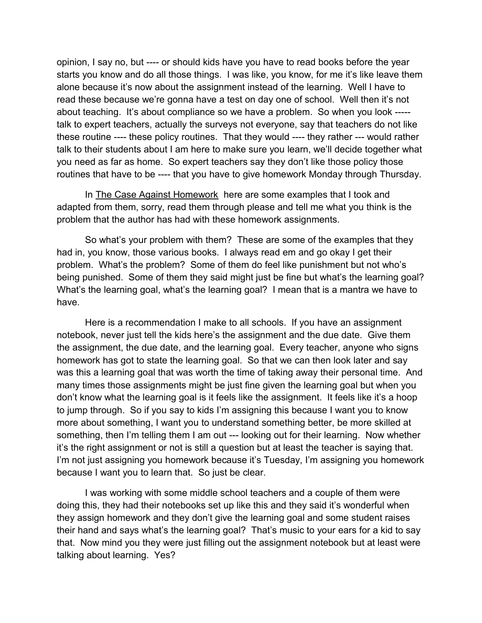opinion, I say no, but ---- or should kids have you have to read books before the year starts you know and do all those things. I was like, you know, for me it's like leave them alone because it's now about the assignment instead of the learning. Well I have to read these because we're gonna have a test on day one of school. Well then it's not about teaching. It's about compliance so we have a problem. So when you look ---- talk to expert teachers, actually the surveys not everyone, say that teachers do not like these routine ---- these policy routines. That they would ---- they rather --- would rather talk to their students about I am here to make sure you learn, we'll decide together what you need as far as home. So expert teachers say they don't like those policy those routines that have to be ---- that you have to give homework Monday through Thursday.

In The Case Against Homework here are some examples that I took and adapted from them, sorry, read them through please and tell me what you think is the problem that the author has had with these homework assignments.

So what's your problem with them? These are some of the examples that they had in, you know, those various books. I always read em and go okay I get their problem. What's the problem? Some of them do feel like punishment but not who's being punished. Some of them they said might just be fine but what's the learning goal? What's the learning goal, what's the learning goal? I mean that is a mantra we have to have.

Here is a recommendation I make to all schools. If you have an assignment notebook, never just tell the kids here's the assignment and the due date. Give them the assignment, the due date, and the learning goal. Every teacher, anyone who signs homework has got to state the learning goal. So that we can then look later and say was this a learning goal that was worth the time of taking away their personal time. And many times those assignments might be just fine given the learning goal but when you don't know what the learning goal is it feels like the assignment. It feels like it's a hoop to jump through. So if you say to kids I'm assigning this because I want you to know more about something, I want you to understand something better, be more skilled at something, then I'm telling them I am out --- looking out for their learning. Now whether it's the right assignment or not is still a question but at least the teacher is saying that. I'm not just assigning you homework because it's Tuesday, I'm assigning you homework because I want you to learn that. So just be clear.

I was working with some middle school teachers and a couple of them were doing this, they had their notebooks set up like this and they said it's wonderful when they assign homework and they don't give the learning goal and some student raises their hand and says what's the learning goal? That's music to your ears for a kid to say that. Now mind you they were just filling out the assignment notebook but at least were talking about learning. Yes?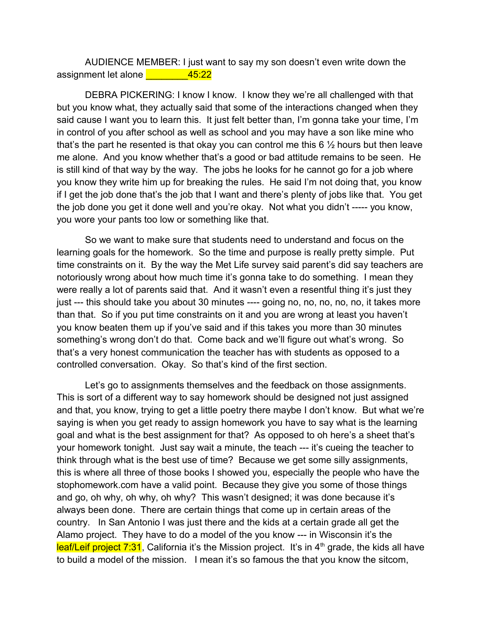AUDIENCE MEMBER: I just want to say my son doesn't even write down the assignment let alone \_\_\_\_\_\_\_\_45:22

DEBRA PICKERING: I know I know. I know they we're all challenged with that but you know what, they actually said that some of the interactions changed when they said cause I want you to learn this. It just felt better than, I'm gonna take your time, I'm in control of you after school as well as school and you may have a son like mine who that's the part he resented is that okay you can control me this 6 ½ hours but then leave me alone. And you know whether that's a good or bad attitude remains to be seen. He is still kind of that way by the way. The jobs he looks for he cannot go for a job where you know they write him up for breaking the rules. He said I'm not doing that, you know if I get the job done that's the job that I want and there's plenty of jobs like that. You get the job done you get it done well and you're okay. Not what you didn't ----- you know, you wore your pants too low or something like that.

So we want to make sure that students need to understand and focus on the learning goals for the homework. So the time and purpose is really pretty simple. Put time constraints on it. By the way the Met Life survey said parent's did say teachers are notoriously wrong about how much time it's gonna take to do something. I mean they were really a lot of parents said that. And it wasn't even a resentful thing it's just they just --- this should take you about 30 minutes ---- going no, no, no, no, no, it takes more than that. So if you put time constraints on it and you are wrong at least you haven't you know beaten them up if you've said and if this takes you more than 30 minutes something's wrong don't do that. Come back and we'll figure out what's wrong. So that's a very honest communication the teacher has with students as opposed to a controlled conversation. Okay. So that's kind of the first section.

Let's go to assignments themselves and the feedback on those assignments. This is sort of a different way to say homework should be designed not just assigned and that, you know, trying to get a little poetry there maybe I don't know. But what we're saying is when you get ready to assign homework you have to say what is the learning goal and what is the best assignment for that? As opposed to oh here's a sheet that's your homework tonight. Just say wait a minute, the teach --- it's cueing the teacher to think through what is the best use of time? Because we get some silly assignments, this is where all three of those books I showed you, especially the people who have the stophomework.com have a valid point. Because they give you some of those things and go, oh why, oh why, oh why? This wasn't designed; it was done because it's always been done. There are certain things that come up in certain areas of the country. In San Antonio I was just there and the kids at a certain grade all get the Alamo project. They have to do a model of the you know --- in Wisconsin it's the leaf/Leif project  $7:31$ , California it's the Mission project. It's in  $4<sup>th</sup>$  grade, the kids all have to build a model of the mission. I mean it's so famous the that you know the sitcom,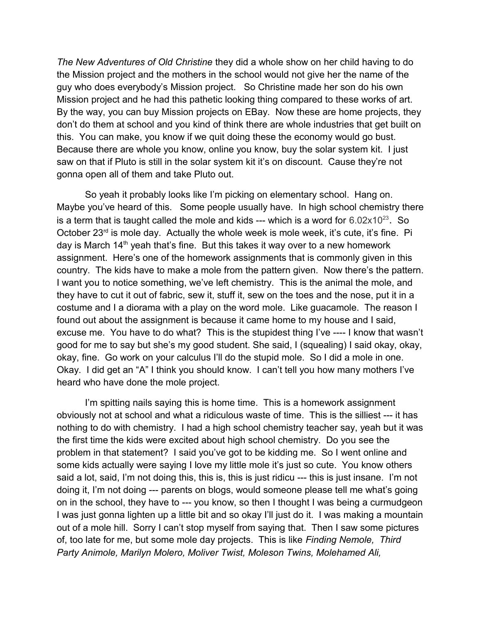*The New Adventures of Old Christine* they did a whole show on her child having to do the Mission project and the mothers in the school would not give her the name of the guy who does everybody's Mission project. So Christine made her son do his own Mission project and he had this pathetic looking thing compared to these works of art. By the way, you can buy Mission projects on EBay. Now these are home projects, they don't do them at school and you kind of think there are whole industries that get built on this. You can make, you know if we quit doing these the economy would go bust. Because there are whole you know, online you know, buy the solar system kit. I just saw on that if Pluto is still in the solar system kit it's on discount. Cause they're not gonna open all of them and take Pluto out.

So yeah it probably looks like I'm picking on elementary school. Hang on. Maybe you've heard of this. Some people usually have. In high school chemistry there is a term that is taught called the mole and kids --- which is a word for  $6.02 \times 10^{23}$ . So October 23<sup>rd</sup> is mole day. Actually the whole week is mole week, it's cute, it's fine. Pi day is March  $14<sup>th</sup>$  yeah that's fine. But this takes it way over to a new homework assignment. Here's one of the homework assignments that is commonly given in this country. The kids have to make a mole from the pattern given. Now there's the pattern. I want you to notice something, we've left chemistry. This is the animal the mole, and they have to cut it out of fabric, sew it, stuff it, sew on the toes and the nose, put it in a costume and I a diorama with a play on the word mole. Like guacamole. The reason I found out about the assignment is because it came home to my house and I said, excuse me. You have to do what? This is the stupidest thing I've ---- I know that wasn't good for me to say but she's my good student. She said, I (squealing) I said okay, okay, okay, fine. Go work on your calculus I'll do the stupid mole. So I did a mole in one. Okay. I did get an "A" I think you should know. I can't tell you how many mothers I've heard who have done the mole project.

I'm spitting nails saying this is home time. This is a homework assignment obviously not at school and what a ridiculous waste of time. This is the silliest --- it has nothing to do with chemistry. I had a high school chemistry teacher say, yeah but it was the first time the kids were excited about high school chemistry. Do you see the problem in that statement? I said you've got to be kidding me. So I went online and some kids actually were saying I love my little mole it's just so cute. You know others said a lot, said, I'm not doing this, this is, this is just ridicu --- this is just insane. I'm not doing it, I'm not doing --- parents on blogs, would someone please tell me what's going on in the school, they have to --- you know, so then I thought I was being a curmudgeon I was just gonna lighten up a little bit and so okay I'll just do it. I was making a mountain out of a mole hill. Sorry I can't stop myself from saying that. Then I saw some pictures of, too late for me, but some mole day projects. This is like *Finding Nemole, Third Party Animole, Marilyn Molero, Moliver Twist, Moleson Twins, Molehamed Ali,*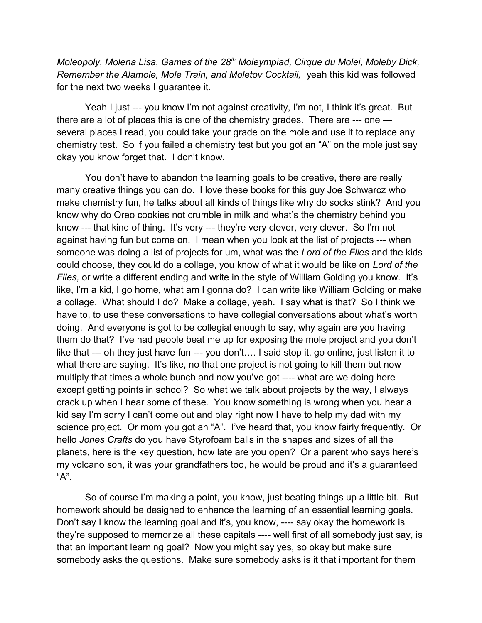*Moleopoly, Molena Lisa, Games of the 28th Moleympiad, Cirque du Molei, Moleby Dick, Remember the Alamole, Mole Train, and Moletov Cocktail,* yeah this kid was followed for the next two weeks I guarantee it.

Yeah I just --- you know I'm not against creativity, I'm not, I think it's great. But there are a lot of places this is one of the chemistry grades. There are --- one -- several places I read, you could take your grade on the mole and use it to replace any chemistry test. So if you failed a chemistry test but you got an "A" on the mole just say okay you know forget that. I don't know.

You don't have to abandon the learning goals to be creative, there are really many creative things you can do. I love these books for this guy Joe Schwarcz who make chemistry fun, he talks about all kinds of things like why do socks stink? And you know why do Oreo cookies not crumble in milk and what's the chemistry behind you know --- that kind of thing. It's very --- they're very clever, very clever. So I'm not against having fun but come on. I mean when you look at the list of projects --- when someone was doing a list of projects for um, what was the *Lord of the Flies* and the kids could choose, they could do a collage, you know of what it would be like on *Lord of the Flies, or write a different ending and write in the style of William Golding you know. It's* like, I'm a kid, I go home, what am I gonna do? I can write like William Golding or make a collage. What should I do? Make a collage, yeah. I say what is that? So I think we have to, to use these conversations to have collegial conversations about what's worth doing. And everyone is got to be collegial enough to say, why again are you having them do that? I've had people beat me up for exposing the mole project and you don't like that --- oh they just have fun --- you don't…. I said stop it, go online, just listen it to what there are saying. It's like, no that one project is not going to kill them but now multiply that times a whole bunch and now you've got ---- what are we doing here except getting points in school? So what we talk about projects by the way, I always crack up when I hear some of these. You know something is wrong when you hear a kid say I'm sorry I can't come out and play right now I have to help my dad with my science project. Or mom you got an "A". I've heard that, you know fairly frequently. Or hello *Jones Crafts* do you have Styrofoam balls in the shapes and sizes of all the planets, here is the key question, how late are you open? Or a parent who says here's my volcano son, it was your grandfathers too, he would be proud and it's a guaranteed "A".

So of course I'm making a point, you know, just beating things up a little bit. But homework should be designed to enhance the learning of an essential learning goals. Don't say I know the learning goal and it's, you know, ---- say okay the homework is they're supposed to memorize all these capitals ---- well first of all somebody just say, is that an important learning goal? Now you might say yes, so okay but make sure somebody asks the questions. Make sure somebody asks is it that important for them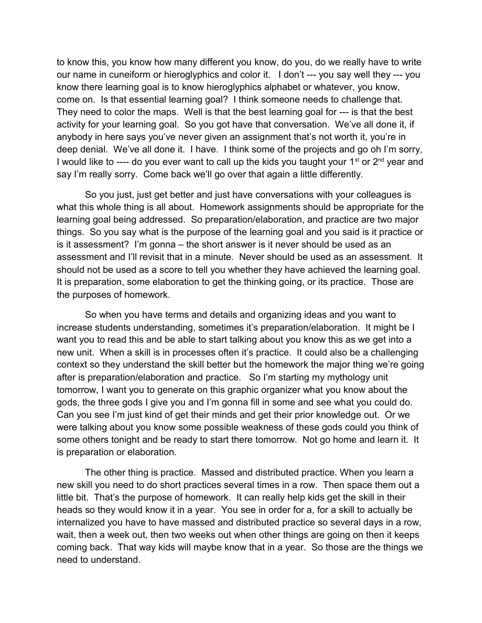to know this, you know how many different you know, do you, do we really have to write our name in cuneiform or hieroglyphics and color it. I don't --- you say well they --- you know there learning goal is to know hieroglyphics alphabet or whatever, you know, come on. Is that essential learning goal? I think someone needs to challenge that. They need to color the maps. Well is that the best learning goal for --- is that the best activity for your learning goal. So you got have that conversation. We've all done it, if anybody in here says you've never given an assignment that's not worth it, you're in deep denial. We've all done it. I have. I think some of the projects and go oh I'm sorry, I would like to ---- do you ever want to call up the kids you taught your  $1<sup>st</sup>$  or  $2<sup>nd</sup>$  year and say I'm really sorry. Come back we'll go over that again a little differently.

So you just, just get better and just have conversations with your colleagues is what this whole thing is all about. Homework assignments should be appropriate for the learning goal being addressed. So preparation/elaboration, and practice are two major things. So you say what is the purpose of the learning goal and you said is it practice or is it assessment? I'm gonna – the short answer is it never should be used as an assessment and I'll revisit that in a minute. Never should be used as an assessment. It should not be used as a score to tell you whether they have achieved the learning goal. It is preparation, some elaboration to get the thinking going, or its practice. Those are the purposes of homework.

So when you have terms and details and organizing ideas and you want to increase students understanding, sometimes it's preparation/elaboration. It might be I want you to read this and be able to start talking about you know this as we get into a new unit. When a skill is in processes often it's practice. It could also be a challenging context so they understand the skill better but the homework the major thing we're going after is preparation/elaboration and practice. So I'm starting my mythology unit tomorrow, I want you to generate on this graphic organizer what you know about the gods, the three gods I give you and I'm gonna fill in some and see what you could do. Can you see I'm just kind of get their minds and get their prior knowledge out. Or we were talking about you know some possible weakness of these gods could you think of some others tonight and be ready to start there tomorrow. Not go home and learn it. It is preparation or elaboration.

The other thing is practice. Massed and distributed practice. When you learn a new skill you need to do short practices several times in a row. Then space them out a little bit. That's the purpose of homework. It can really help kids get the skill in their heads so they would know it in a year. You see in order for a, for a skill to actually be internalized you have to have massed and distributed practice so several days in a row, wait, then a week out, then two weeks out when other things are going on then it keeps coming back. That way kids will maybe know that in a year. So those are the things we need to understand.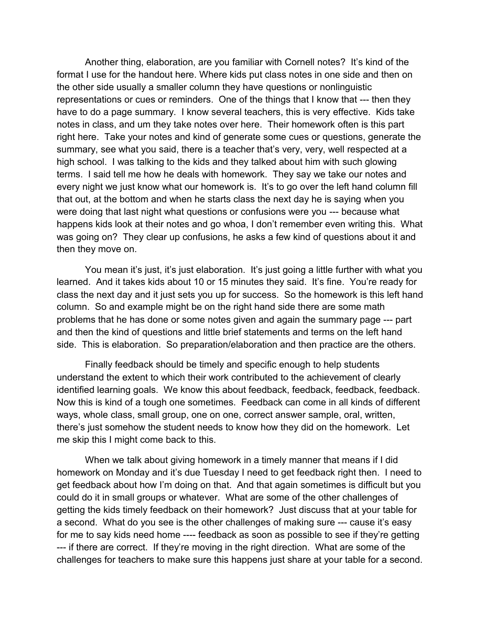Another thing, elaboration, are you familiar with Cornell notes? It's kind of the format I use for the handout here. Where kids put class notes in one side and then on the other side usually a smaller column they have questions or nonlinguistic representations or cues or reminders. One of the things that I know that --- then they have to do a page summary. I know several teachers, this is very effective. Kids take notes in class, and um they take notes over here. Their homework often is this part right here. Take your notes and kind of generate some cues or questions, generate the summary, see what you said, there is a teacher that's very, very, well respected at a high school. I was talking to the kids and they talked about him with such glowing terms. I said tell me how he deals with homework. They say we take our notes and every night we just know what our homework is. It's to go over the left hand column fill that out, at the bottom and when he starts class the next day he is saying when you were doing that last night what questions or confusions were you --- because what happens kids look at their notes and go whoa, I don't remember even writing this. What was going on? They clear up confusions, he asks a few kind of questions about it and then they move on.

You mean it's just, it's just elaboration. It's just going a little further with what you learned. And it takes kids about 10 or 15 minutes they said. It's fine. You're ready for class the next day and it just sets you up for success. So the homework is this left hand column. So and example might be on the right hand side there are some math problems that he has done or some notes given and again the summary page --- part and then the kind of questions and little brief statements and terms on the left hand side. This is elaboration. So preparation/elaboration and then practice are the others.

Finally feedback should be timely and specific enough to help students understand the extent to which their work contributed to the achievement of clearly identified learning goals. We know this about feedback, feedback, feedback, feedback. Now this is kind of a tough one sometimes. Feedback can come in all kinds of different ways, whole class, small group, one on one, correct answer sample, oral, written, there's just somehow the student needs to know how they did on the homework. Let me skip this I might come back to this.

When we talk about giving homework in a timely manner that means if I did homework on Monday and it's due Tuesday I need to get feedback right then. I need to get feedback about how I'm doing on that. And that again sometimes is difficult but you could do it in small groups or whatever. What are some of the other challenges of getting the kids timely feedback on their homework? Just discuss that at your table for a second. What do you see is the other challenges of making sure --- cause it's easy for me to say kids need home ---- feedback as soon as possible to see if they're getting --- if there are correct. If they're moving in the right direction. What are some of the challenges for teachers to make sure this happens just share at your table for a second.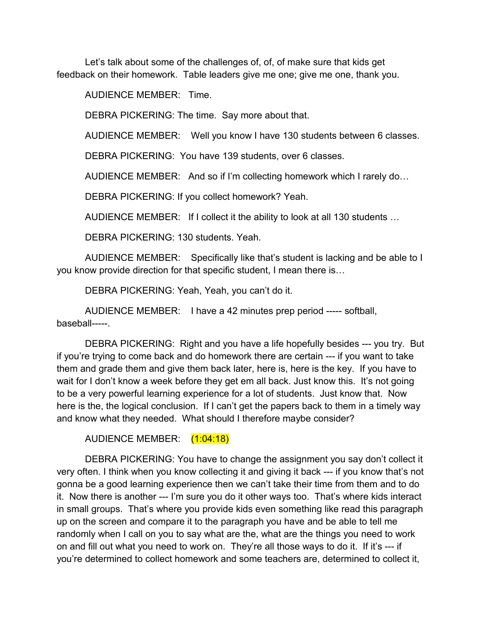Let's talk about some of the challenges of, of, of make sure that kids get feedback on their homework. Table leaders give me one; give me one, thank you.

AUDIENCE MEMBER: Time.

DEBRA PICKERING: The time. Say more about that.

AUDIENCE MEMBER: Well you know I have 130 students between 6 classes.

DEBRA PICKERING: You have 139 students, over 6 classes.

AUDIENCE MEMBER: And so if I'm collecting homework which I rarely do…

DEBRA PICKERING: If you collect homework? Yeah.

AUDIENCE MEMBER: If I collect it the ability to look at all 130 students …

DEBRA PICKERING: 130 students. Yeah.

AUDIENCE MEMBER: Specifically like that's student is lacking and be able to I you know provide direction for that specific student, I mean there is…

DEBRA PICKERING: Yeah, Yeah, you can't do it.

AUDIENCE MEMBER: I have a 42 minutes prep period ----- softball, baseball-----.

DEBRA PICKERING: Right and you have a life hopefully besides --- you try. But if you're trying to come back and do homework there are certain --- if you want to take them and grade them and give them back later, here is, here is the key. If you have to wait for I don't know a week before they get em all back. Just know this. It's not going to be a very powerful learning experience for a lot of students. Just know that. Now here is the, the logical conclusion. If I can't get the papers back to them in a timely way and know what they needed. What should I therefore maybe consider?

AUDIENCE MEMBER: (1:04:18)

DEBRA PICKERING: You have to change the assignment you say don't collect it very often. I think when you know collecting it and giving it back --- if you know that's not gonna be a good learning experience then we can't take their time from them and to do it. Now there is another --- I'm sure you do it other ways too. That's where kids interact in small groups. That's where you provide kids even something like read this paragraph up on the screen and compare it to the paragraph you have and be able to tell me randomly when I call on you to say what are the, what are the things you need to work on and fill out what you need to work on. They're all those ways to do it. If it's --- if you're determined to collect homework and some teachers are, determined to collect it,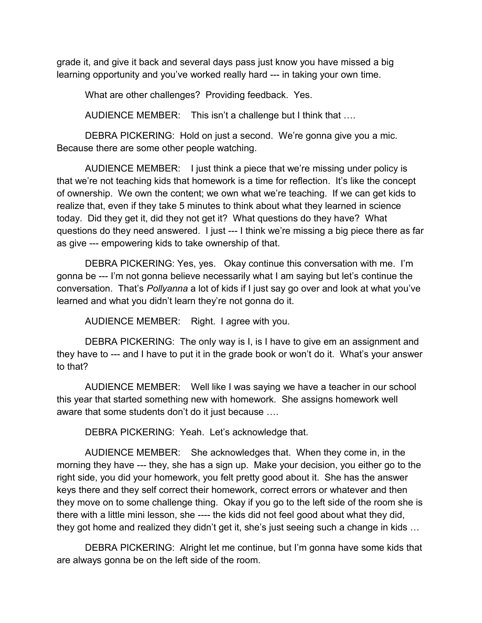grade it, and give it back and several days pass just know you have missed a big learning opportunity and you've worked really hard --- in taking your own time.

What are other challenges? Providing feedback. Yes.

AUDIENCE MEMBER: This isn't a challenge but I think that ….

DEBRA PICKERING: Hold on just a second. We're gonna give you a mic. Because there are some other people watching.

AUDIENCE MEMBER: I just think a piece that we're missing under policy is that we're not teaching kids that homework is a time for reflection. It's like the concept of ownership. We own the content; we own what we're teaching. If we can get kids to realize that, even if they take 5 minutes to think about what they learned in science today. Did they get it, did they not get it? What questions do they have? What questions do they need answered. I just --- I think we're missing a big piece there as far as give --- empowering kids to take ownership of that.

DEBRA PICKERING: Yes, yes. Okay continue this conversation with me. I'm gonna be --- I'm not gonna believe necessarily what I am saying but let's continue the conversation. That's *Pollyanna* a lot of kids if I just say go over and look at what you've learned and what you didn't learn they're not gonna do it.

AUDIENCE MEMBER: Right. I agree with you.

DEBRA PICKERING: The only way is I, is I have to give em an assignment and they have to --- and I have to put it in the grade book or won't do it. What's your answer to that?

AUDIENCE MEMBER: Well like I was saying we have a teacher in our school this year that started something new with homework. She assigns homework well aware that some students don't do it just because ….

DEBRA PICKERING: Yeah. Let's acknowledge that.

AUDIENCE MEMBER: She acknowledges that. When they come in, in the morning they have --- they, she has a sign up. Make your decision, you either go to the right side, you did your homework, you felt pretty good about it. She has the answer keys there and they self correct their homework, correct errors or whatever and then they move on to some challenge thing. Okay if you go to the left side of the room she is there with a little mini lesson, she ---- the kids did not feel good about what they did, they got home and realized they didn't get it, she's just seeing such a change in kids …

DEBRA PICKERING: Alright let me continue, but I'm gonna have some kids that are always gonna be on the left side of the room.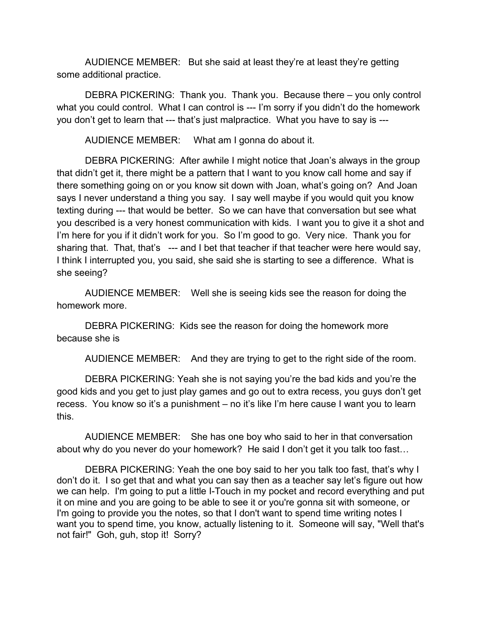AUDIENCE MEMBER: But she said at least they're at least they're getting some additional practice.

DEBRA PICKERING: Thank you. Thank you. Because there – you only control what you could control. What I can control is --- I'm sorry if you didn't do the homework you don't get to learn that --- that's just malpractice. What you have to say is ---

AUDIENCE MEMBER: What am I gonna do about it.

DEBRA PICKERING: After awhile I might notice that Joan's always in the group that didn't get it, there might be a pattern that I want to you know call home and say if there something going on or you know sit down with Joan, what's going on? And Joan says I never understand a thing you say. I say well maybe if you would quit you know texting during --- that would be better. So we can have that conversation but see what you described is a very honest communication with kids. I want you to give it a shot and I'm here for you if it didn't work for you. So I'm good to go. Very nice. Thank you for sharing that. That, that's --- and I bet that teacher if that teacher were here would say, I think I interrupted you, you said, she said she is starting to see a difference. What is she seeing?

AUDIENCE MEMBER: Well she is seeing kids see the reason for doing the homework more.

DEBRA PICKERING: Kids see the reason for doing the homework more because she is

AUDIENCE MEMBER: And they are trying to get to the right side of the room.

DEBRA PICKERING: Yeah she is not saying you're the bad kids and you're the good kids and you get to just play games and go out to extra recess, you guys don't get recess. You know so it's a punishment – no it's like I'm here cause I want you to learn this.

AUDIENCE MEMBER: She has one boy who said to her in that conversation about why do you never do your homework? He said I don't get it you talk too fast…

DEBRA PICKERING: Yeah the one boy said to her you talk too fast, that's why I don't do it. I so get that and what you can say then as a teacher say let's figure out how we can help. I'm going to put a little I-Touch in my pocket and record everything and put it on mine and you are going to be able to see it or you're gonna sit with someone, or I'm going to provide you the notes, so that I don't want to spend time writing notes I want you to spend time, you know, actually listening to it. Someone will say, "Well that's not fair!" Goh, guh, stop it! Sorry?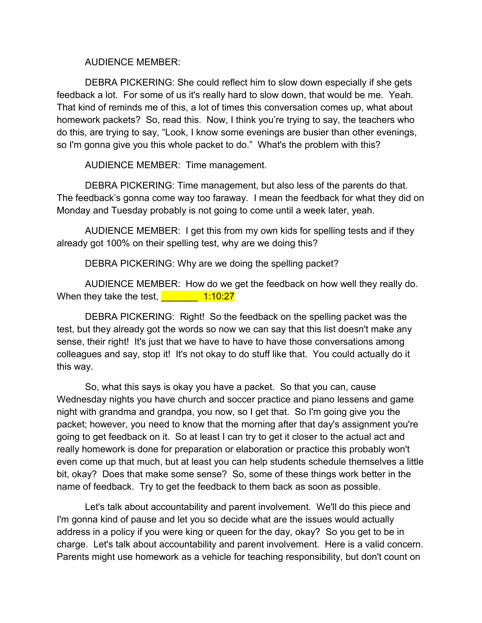AUDIENCE MEMBER:

DEBRA PICKERING: She could reflect him to slow down especially if she gets feedback a lot. For some of us it's really hard to slow down, that would be me. Yeah. That kind of reminds me of this, a lot of times this conversation comes up, what about homework packets? So, read this. Now, I think you're trying to say, the teachers who do this, are trying to say, "Look, I know some evenings are busier than other evenings, so I'm gonna give you this whole packet to do." What's the problem with this?

AUDIENCE MEMBER: Time management.

DEBRA PICKERING: Time management, but also less of the parents do that. The feedback's gonna come way too faraway. I mean the feedback for what they did on Monday and Tuesday probably is not going to come until a week later, yeah.

AUDIENCE MEMBER: I get this from my own kids for spelling tests and if they already got 100% on their spelling test, why are we doing this?

DEBRA PICKERING: Why are we doing the spelling packet?

AUDIENCE MEMBER: How do we get the feedback on how well they really do. When they take the test,  $\frac{1.10:27}{2.20}$ 

DEBRA PICKERING: Right! So the feedback on the spelling packet was the test, but they already got the words so now we can say that this list doesn't make any sense, their right! It's just that we have to have to have those conversations among colleagues and say, stop it! It's not okay to do stuff like that. You could actually do it this way.

So, what this says is okay you have a packet. So that you can, cause Wednesday nights you have church and soccer practice and piano lessens and game night with grandma and grandpa, you now, so I get that. So I'm going give you the packet; however, you need to know that the morning after that day's assignment you're going to get feedback on it. So at least I can try to get it closer to the actual act and really homework is done for preparation or elaboration or practice this probably won't even come up that much, but at least you can help students schedule themselves a little bit, okay? Does that make some sense? So, some of these things work better in the name of feedback. Try to get the feedback to them back as soon as possible.

Let's talk about accountability and parent involvement. We'll do this piece and I'm gonna kind of pause and let you so decide what are the issues would actually address in a policy if you were king or queen for the day, okay? So you get to be in charge. Let's talk about accountability and parent involvement. Here is a valid concern. Parents might use homework as a vehicle for teaching responsibility, but don't count on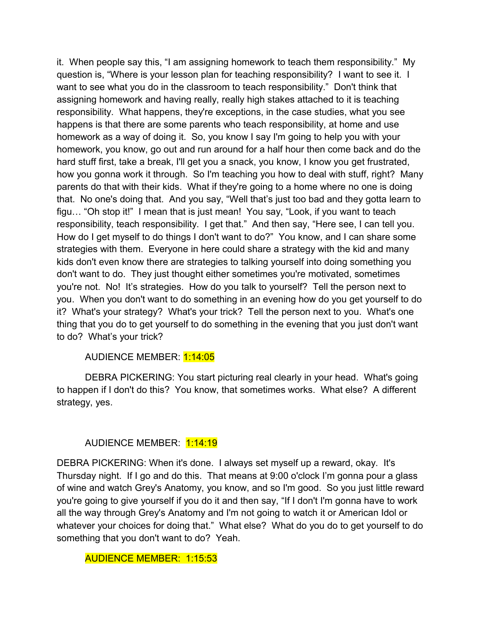it. When people say this, "I am assigning homework to teach them responsibility." My question is, "Where is your lesson plan for teaching responsibility? I want to see it. I want to see what you do in the classroom to teach responsibility." Don't think that assigning homework and having really, really high stakes attached to it is teaching responsibility. What happens, they're exceptions, in the case studies, what you see happens is that there are some parents who teach responsibility, at home and use homework as a way of doing it. So, you know I say I'm going to help you with your homework, you know, go out and run around for a half hour then come back and do the hard stuff first, take a break, I'll get you a snack, you know, I know you get frustrated, how you gonna work it through. So I'm teaching you how to deal with stuff, right? Many parents do that with their kids. What if they're going to a home where no one is doing that. No one's doing that. And you say, "Well that's just too bad and they gotta learn to figu… "Oh stop it!" I mean that is just mean! You say, "Look, if you want to teach responsibility, teach responsibility. I get that." And then say, "Here see, I can tell you. How do I get myself to do things I don't want to do?" You know, and I can share some strategies with them. Everyone in here could share a strategy with the kid and many kids don't even know there are strategies to talking yourself into doing something you don't want to do. They just thought either sometimes you're motivated, sometimes you're not. No! It's strategies. How do you talk to yourself? Tell the person next to you. When you don't want to do something in an evening how do you get yourself to do it? What's your strategy? What's your trick? Tell the person next to you. What's one thing that you do to get yourself to do something in the evening that you just don't want to do? What's your trick?

## AUDIENCE MEMBER: 1:14:05

DEBRA PICKERING: You start picturing real clearly in your head. What's going to happen if I don't do this? You know, that sometimes works. What else? A different strategy, yes.

# AUDIENCE MEMBER: 1:14:19

DEBRA PICKERING: When it's done. I always set myself up a reward, okay. It's Thursday night. If I go and do this. That means at 9:00 o'clock I'm gonna pour a glass of wine and watch Grey's Anatomy, you know, and so I'm good. So you just little reward you're going to give yourself if you do it and then say, "If I don't I'm gonna have to work all the way through Grey's Anatomy and I'm not going to watch it or American Idol or whatever your choices for doing that." What else? What do you do to get yourself to do something that you don't want to do? Yeah.

### AUDIENCE MEMBER: 1:15:53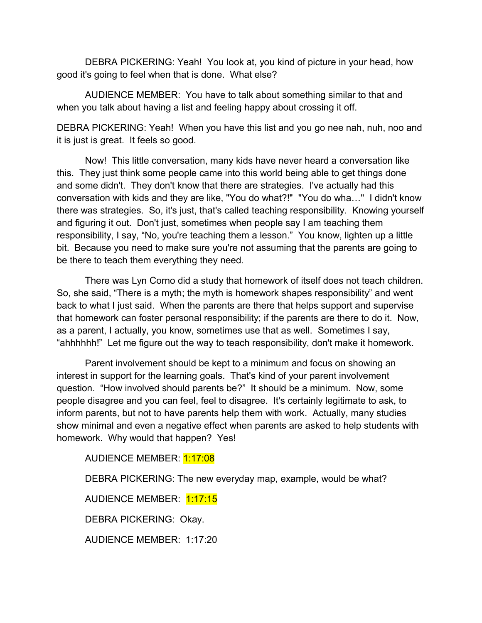DEBRA PICKERING: Yeah! You look at, you kind of picture in your head, how good it's going to feel when that is done. What else?

AUDIENCE MEMBER: You have to talk about something similar to that and when you talk about having a list and feeling happy about crossing it off.

DEBRA PICKERING: Yeah! When you have this list and you go nee nah, nuh, noo and it is just is great. It feels so good.

Now! This little conversation, many kids have never heard a conversation like this. They just think some people came into this world being able to get things done and some didn't. They don't know that there are strategies. I've actually had this conversation with kids and they are like, "You do what?!" "You do wha…" I didn't know there was strategies. So, it's just, that's called teaching responsibility. Knowing yourself and figuring it out. Don't just, sometimes when people say I am teaching them responsibility, I say, "No, you're teaching them a lesson." You know, lighten up a little bit. Because you need to make sure you're not assuming that the parents are going to be there to teach them everything they need.

There was Lyn Corno did a study that homework of itself does not teach children. So, she said, "There is a myth; the myth is homework shapes responsibility" and went back to what I just said. When the parents are there that helps support and supervise that homework can foster personal responsibility; if the parents are there to do it. Now, as a parent, I actually, you know, sometimes use that as well. Sometimes I say, "ahhhhhh!" Let me figure out the way to teach responsibility, don't make it homework.

Parent involvement should be kept to a minimum and focus on showing an interest in support for the learning goals. That's kind of your parent involvement question. "How involved should parents be?" It should be a minimum. Now, some people disagree and you can feel, feel to disagree. It's certainly legitimate to ask, to inform parents, but not to have parents help them with work. Actually, many studies show minimal and even a negative effect when parents are asked to help students with homework. Why would that happen? Yes!

AUDIENCE MEMBER: 1:17:08

DEBRA PICKERING: The new everyday map, example, would be what?

AUDIENCE MEMBER: 1:17:15

DEBRA PICKERING: Okay.

AUDIENCE MEMBER: 1:17:20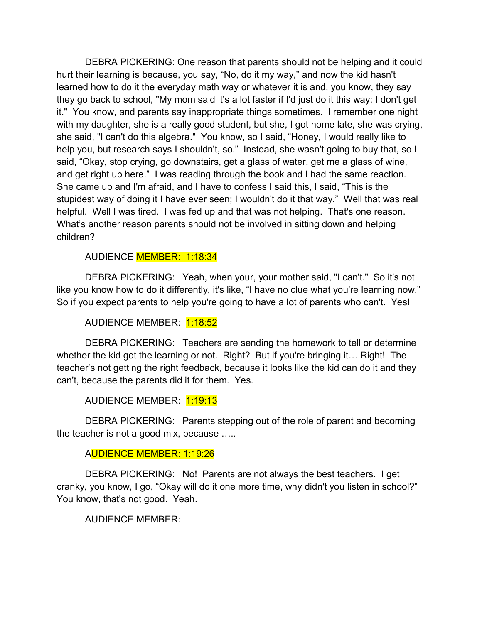DEBRA PICKERING: One reason that parents should not be helping and it could hurt their learning is because, you say, "No, do it my way," and now the kid hasn't learned how to do it the everyday math way or whatever it is and, you know, they say they go back to school, "My mom said it's a lot faster if I'd just do it this way; I don't get it." You know, and parents say inappropriate things sometimes. I remember one night with my daughter, she is a really good student, but she, I got home late, she was crying, she said, "I can't do this algebra." You know, so I said, "Honey, I would really like to help you, but research says I shouldn't, so." Instead, she wasn't going to buy that, so I said, "Okay, stop crying, go downstairs, get a glass of water, get me a glass of wine, and get right up here." I was reading through the book and I had the same reaction. She came up and I'm afraid, and I have to confess I said this, I said, "This is the stupidest way of doing it I have ever seen; I wouldn't do it that way." Well that was real helpful. Well I was tired. I was fed up and that was not helping. That's one reason. What's another reason parents should not be involved in sitting down and helping children?

AUDIENCE MEMBER: 1:18:34

DEBRA PICKERING: Yeah, when your, your mother said, "I can't." So it's not like you know how to do it differently, it's like, "I have no clue what you're learning now." So if you expect parents to help you're going to have a lot of parents who can't. Yes!

AUDIENCE MEMBER: 1:18:52

DEBRA PICKERING: Teachers are sending the homework to tell or determine whether the kid got the learning or not. Right? But if you're bringing it… Right! The teacher's not getting the right feedback, because it looks like the kid can do it and they can't, because the parents did it for them. Yes.

AUDIENCE MEMBER: 1:19:13

DEBRA PICKERING: Parents stepping out of the role of parent and becoming the teacher is not a good mix, because …..

### AUDIENCE MEMBER: 1:19:26

DEBRA PICKERING: No! Parents are not always the best teachers. I get cranky, you know, I go, "Okay will do it one more time, why didn't you listen in school?" You know, that's not good. Yeah.

AUDIENCE MEMBER: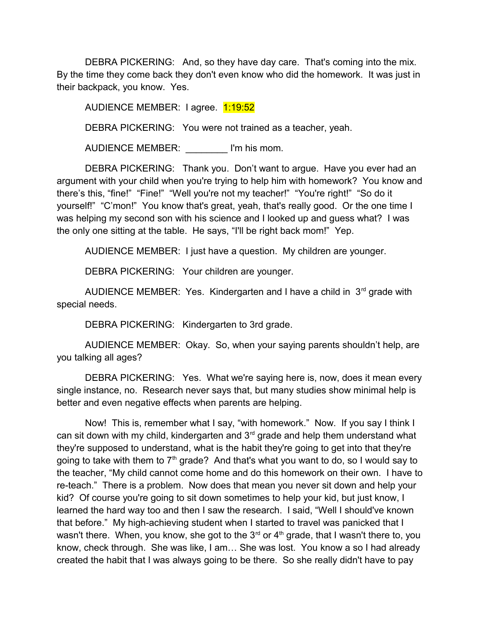DEBRA PICKERING: And, so they have day care. That's coming into the mix. By the time they come back they don't even know who did the homework. It was just in their backpack, you know. Yes.

AUDIENCE MEMBER: I agree. 1:19:52

DEBRA PICKERING: You were not trained as a teacher, yeah.

AUDIENCE MEMBER: \_\_\_\_\_\_\_\_ I'm his mom.

DEBRA PICKERING: Thank you. Don't want to argue. Have you ever had an argument with your child when you're trying to help him with homework? You know and there's this, "fine!" "Fine!" "Well you're not my teacher!" "You're right!" "So do it yourself!" "C'mon!" You know that's great, yeah, that's really good. Or the one time I was helping my second son with his science and I looked up and guess what? I was the only one sitting at the table. He says, "I'll be right back mom!" Yep.

AUDIENCE MEMBER: I just have a question. My children are younger.

DEBRA PICKERING: Your children are younger.

AUDIENCE MEMBER: Yes. Kindergarten and I have a child in  $3<sup>rd</sup>$  grade with special needs.

DEBRA PICKERING: Kindergarten to 3rd grade.

AUDIENCE MEMBER: Okay. So, when your saying parents shouldn't help, are you talking all ages?

DEBRA PICKERING: Yes. What we're saying here is, now, does it mean every single instance, no. Research never says that, but many studies show minimal help is better and even negative effects when parents are helping.

Now! This is, remember what I say, "with homework." Now. If you say I think I can sit down with my child, kindergarten and  $3<sup>rd</sup>$  grade and help them understand what they're supposed to understand, what is the habit they're going to get into that they're going to take with them to  $7<sup>th</sup>$  grade? And that's what you want to do, so I would say to the teacher, "My child cannot come home and do this homework on their own. I have to re-teach." There is a problem. Now does that mean you never sit down and help your kid? Of course you're going to sit down sometimes to help your kid, but just know, I learned the hard way too and then I saw the research. I said, "Well I should've known that before." My high-achieving student when I started to travel was panicked that I wasn't there. When, you know, she got to the  $3<sup>rd</sup>$  or  $4<sup>th</sup>$  grade, that I wasn't there to, you know, check through. She was like, I am… She was lost. You know a so I had already created the habit that I was always going to be there. So she really didn't have to pay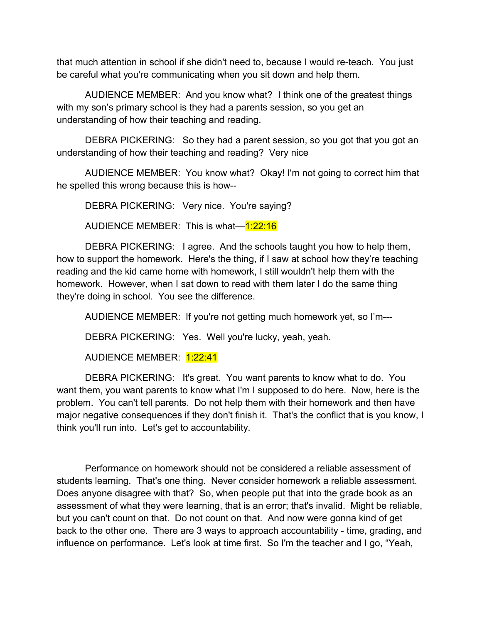that much attention in school if she didn't need to, because I would re-teach. You just be careful what you're communicating when you sit down and help them.

AUDIENCE MEMBER: And you know what? I think one of the greatest things with my son's primary school is they had a parents session, so you get an understanding of how their teaching and reading.

DEBRA PICKERING: So they had a parent session, so you got that you got an understanding of how their teaching and reading? Very nice

AUDIENCE MEMBER: You know what? Okay! I'm not going to correct him that he spelled this wrong because this is how--

DEBRA PICKERING: Very nice. You're saying?

AUDIENCE MEMBER: This is what-1:22:16

DEBRA PICKERING: I agree. And the schools taught you how to help them, how to support the homework. Here's the thing, if I saw at school how they're teaching reading and the kid came home with homework, I still wouldn't help them with the homework. However, when I sat down to read with them later I do the same thing they're doing in school. You see the difference.

AUDIENCE MEMBER: If you're not getting much homework yet, so I'm---

DEBRA PICKERING: Yes. Well you're lucky, yeah, yeah.

AUDIENCE MEMBER: 1:22:41

DEBRA PICKERING: It's great. You want parents to know what to do. You want them, you want parents to know what I'm I supposed to do here. Now, here is the problem. You can't tell parents. Do not help them with their homework and then have major negative consequences if they don't finish it. That's the conflict that is you know, I think you'll run into. Let's get to accountability.

Performance on homework should not be considered a reliable assessment of students learning. That's one thing. Never consider homework a reliable assessment. Does anyone disagree with that? So, when people put that into the grade book as an assessment of what they were learning, that is an error; that's invalid. Might be reliable, but you can't count on that. Do not count on that. And now were gonna kind of get back to the other one. There are 3 ways to approach accountability - time, grading, and influence on performance. Let's look at time first. So I'm the teacher and I go, "Yeah,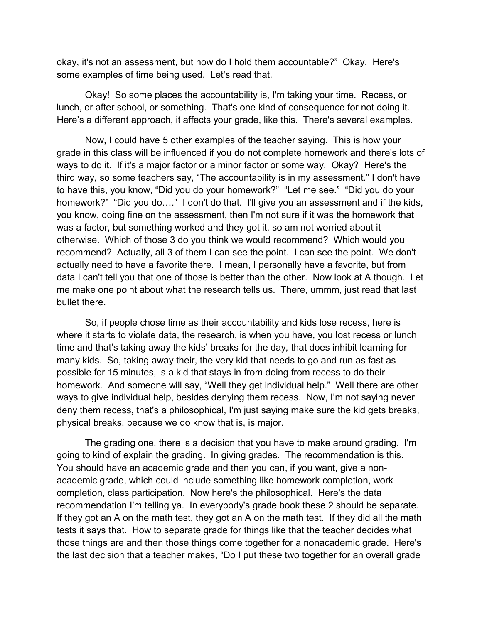okay, it's not an assessment, but how do I hold them accountable?" Okay. Here's some examples of time being used. Let's read that.

Okay! So some places the accountability is, I'm taking your time. Recess, or lunch, or after school, or something. That's one kind of consequence for not doing it. Here's a different approach, it affects your grade, like this. There's several examples.

Now, I could have 5 other examples of the teacher saying. This is how your grade in this class will be influenced if you do not complete homework and there's lots of ways to do it. If it's a major factor or a minor factor or some way. Okay? Here's the third way, so some teachers say, "The accountability is in my assessment." I don't have to have this, you know, "Did you do your homework?" "Let me see." "Did you do your homework?" "Did you do...." I don't do that. I'll give you an assessment and if the kids, you know, doing fine on the assessment, then I'm not sure if it was the homework that was a factor, but something worked and they got it, so am not worried about it otherwise. Which of those 3 do you think we would recommend? Which would you recommend? Actually, all 3 of them I can see the point. I can see the point. We don't actually need to have a favorite there. I mean, I personally have a favorite, but from data I can't tell you that one of those is better than the other. Now look at A though. Let me make one point about what the research tells us. There, ummm, just read that last bullet there.

So, if people chose time as their accountability and kids lose recess, here is where it starts to violate data, the research, is when you have, you lost recess or lunch time and that's taking away the kids' breaks for the day, that does inhibit learning for many kids. So, taking away their, the very kid that needs to go and run as fast as possible for 15 minutes, is a kid that stays in from doing from recess to do their homework. And someone will say, "Well they get individual help." Well there are other ways to give individual help, besides denying them recess. Now, I'm not saying never deny them recess, that's a philosophical, I'm just saying make sure the kid gets breaks, physical breaks, because we do know that is, is major.

The grading one, there is a decision that you have to make around grading. I'm going to kind of explain the grading. In giving grades. The recommendation is this. You should have an academic grade and then you can, if you want, give a nonacademic grade, which could include something like homework completion, work completion, class participation. Now here's the philosophical. Here's the data recommendation I'm telling ya. In everybody's grade book these 2 should be separate. If they got an A on the math test, they got an A on the math test. If they did all the math tests it says that. How to separate grade for things like that the teacher decides what those things are and then those things come together for a nonacademic grade. Here's the last decision that a teacher makes, "Do I put these two together for an overall grade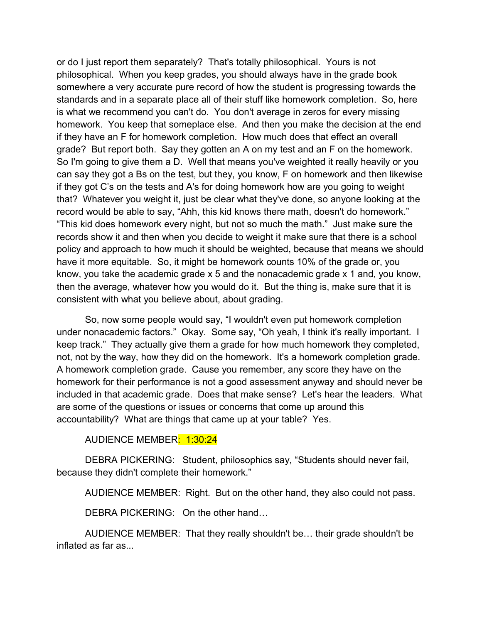or do I just report them separately? That's totally philosophical. Yours is not philosophical. When you keep grades, you should always have in the grade book somewhere a very accurate pure record of how the student is progressing towards the standards and in a separate place all of their stuff like homework completion. So, here is what we recommend you can't do. You don't average in zeros for every missing homework. You keep that someplace else. And then you make the decision at the end if they have an F for homework completion. How much does that effect an overall grade? But report both. Say they gotten an A on my test and an F on the homework. So I'm going to give them a D. Well that means you've weighted it really heavily or you can say they got a Bs on the test, but they, you know, F on homework and then likewise if they got C's on the tests and A's for doing homework how are you going to weight that? Whatever you weight it, just be clear what they've done, so anyone looking at the record would be able to say, "Ahh, this kid knows there math, doesn't do homework." "This kid does homework every night, but not so much the math." Just make sure the records show it and then when you decide to weight it make sure that there is a school policy and approach to how much it should be weighted, because that means we should have it more equitable. So, it might be homework counts 10% of the grade or, you know, you take the academic grade x 5 and the nonacademic grade x 1 and, you know, then the average, whatever how you would do it. But the thing is, make sure that it is consistent with what you believe about, about grading.

So, now some people would say, "I wouldn't even put homework completion under nonacademic factors." Okay. Some say, "Oh yeah, I think it's really important. I keep track." They actually give them a grade for how much homework they completed, not, not by the way, how they did on the homework. It's a homework completion grade. A homework completion grade. Cause you remember, any score they have on the homework for their performance is not a good assessment anyway and should never be included in that academic grade. Does that make sense? Let's hear the leaders. What are some of the questions or issues or concerns that come up around this accountability? What are things that came up at your table? Yes.

AUDIENCE MEMBER: 1:30:24

DEBRA PICKERING: Student, philosophics say, "Students should never fail, because they didn't complete their homework."

AUDIENCE MEMBER: Right. But on the other hand, they also could not pass.

DEBRA PICKERING: On the other hand…

AUDIENCE MEMBER: That they really shouldn't be… their grade shouldn't be inflated as far as...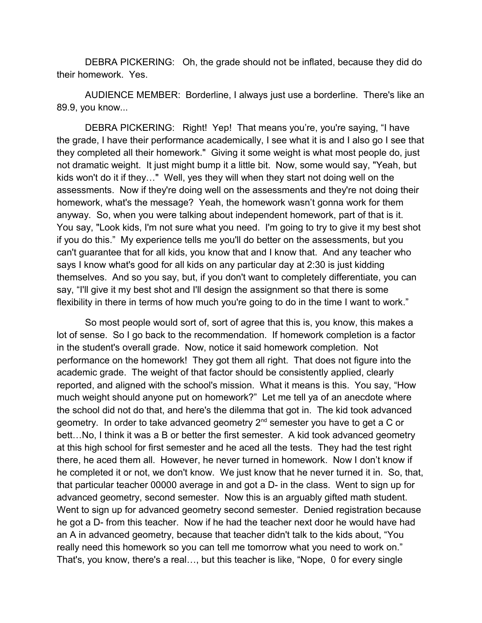DEBRA PICKERING: Oh, the grade should not be inflated, because they did do their homework. Yes.

AUDIENCE MEMBER: Borderline, I always just use a borderline. There's like an 89.9, you know...

DEBRA PICKERING: Right! Yep! That means you're, you're saying, "I have the grade, I have their performance academically, I see what it is and I also go I see that they completed all their homework." Giving it some weight is what most people do, just not dramatic weight. It just might bump it a little bit. Now, some would say, "Yeah, but kids won't do it if they…" Well, yes they will when they start not doing well on the assessments. Now if they're doing well on the assessments and they're not doing their homework, what's the message? Yeah, the homework wasn't gonna work for them anyway. So, when you were talking about independent homework, part of that is it. You say, "Look kids, I'm not sure what you need. I'm going to try to give it my best shot if you do this." My experience tells me you'll do better on the assessments, but you can't guarantee that for all kids, you know that and I know that. And any teacher who says I know what's good for all kids on any particular day at 2:30 is just kidding themselves. And so you say, but, if you don't want to completely differentiate, you can say, "I'll give it my best shot and I'll design the assignment so that there is some flexibility in there in terms of how much you're going to do in the time I want to work."

So most people would sort of, sort of agree that this is, you know, this makes a lot of sense. So I go back to the recommendation. If homework completion is a factor in the student's overall grade. Now, notice it said homework completion. Not performance on the homework! They got them all right. That does not figure into the academic grade. The weight of that factor should be consistently applied, clearly reported, and aligned with the school's mission. What it means is this. You say, "How much weight should anyone put on homework?" Let me tell ya of an anecdote where the school did not do that, and here's the dilemma that got in. The kid took advanced geometry. In order to take advanced geometry 2<sup>nd</sup> semester you have to get a C or bett…No, I think it was a B or better the first semester. A kid took advanced geometry at this high school for first semester and he aced all the tests. They had the test right there, he aced them all. However, he never turned in homework. Now I don't know if he completed it or not, we don't know. We just know that he never turned it in. So, that, that particular teacher 00000 average in and got a D- in the class. Went to sign up for advanced geometry, second semester. Now this is an arguably gifted math student. Went to sign up for advanced geometry second semester. Denied registration because he got a D- from this teacher. Now if he had the teacher next door he would have had an A in advanced geometry, because that teacher didn't talk to the kids about, "You really need this homework so you can tell me tomorrow what you need to work on." That's, you know, there's a real…, but this teacher is like, "Nope, 0 for every single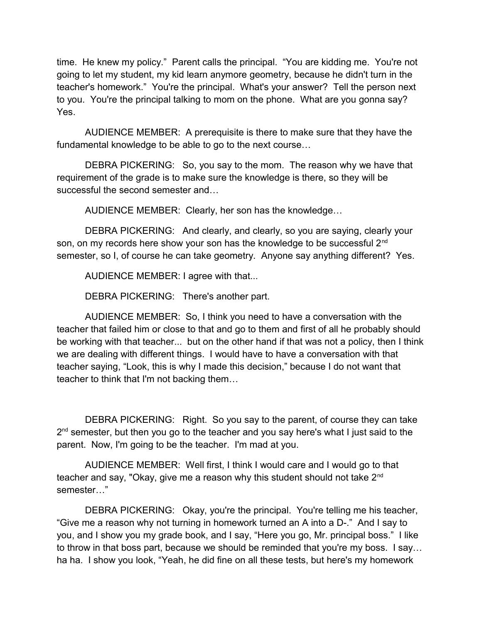time. He knew my policy." Parent calls the principal. "You are kidding me. You're not going to let my student, my kid learn anymore geometry, because he didn't turn in the teacher's homework." You're the principal. What's your answer? Tell the person next to you. You're the principal talking to mom on the phone. What are you gonna say? Yes.

AUDIENCE MEMBER: A prerequisite is there to make sure that they have the fundamental knowledge to be able to go to the next course…

DEBRA PICKERING: So, you say to the mom. The reason why we have that requirement of the grade is to make sure the knowledge is there, so they will be successful the second semester and…

AUDIENCE MEMBER: Clearly, her son has the knowledge…

DEBRA PICKERING: And clearly, and clearly, so you are saying, clearly your son, on my records here show your son has the knowledge to be successful 2<sup>nd</sup> semester, so I, of course he can take geometry. Anyone say anything different? Yes.

AUDIENCE MEMBER: I agree with that...

DEBRA PICKERING: There's another part.

AUDIENCE MEMBER: So, I think you need to have a conversation with the teacher that failed him or close to that and go to them and first of all he probably should be working with that teacher... but on the other hand if that was not a policy, then I think we are dealing with different things. I would have to have a conversation with that teacher saying, "Look, this is why I made this decision," because I do not want that teacher to think that I'm not backing them…

DEBRA PICKERING: Right. So you say to the parent, of course they can take 2<sup>nd</sup> semester, but then you go to the teacher and you say here's what I just said to the parent. Now, I'm going to be the teacher. I'm mad at you.

AUDIENCE MEMBER: Well first, I think I would care and I would go to that teacher and say, "Okay, give me a reason why this student should not take 2<sup>nd</sup> semester…"

DEBRA PICKERING: Okay, you're the principal. You're telling me his teacher, "Give me a reason why not turning in homework turned an A into a D-." And I say to you, and I show you my grade book, and I say, "Here you go, Mr. principal boss." I like to throw in that boss part, because we should be reminded that you're my boss. I say… ha ha. I show you look, "Yeah, he did fine on all these tests, but here's my homework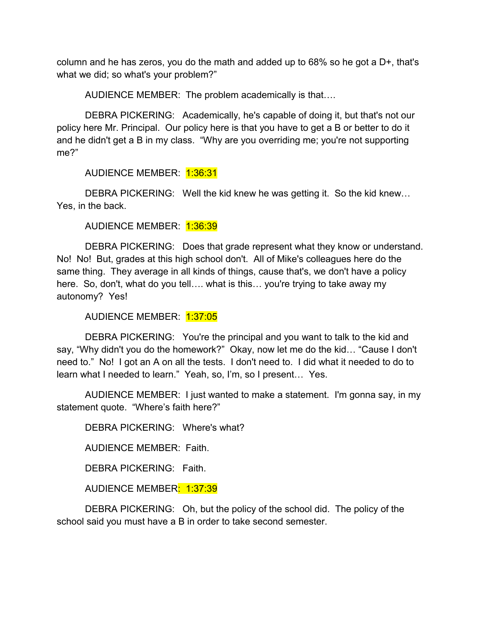column and he has zeros, you do the math and added up to 68% so he got a D+, that's what we did; so what's your problem?"

AUDIENCE MEMBER: The problem academically is that….

DEBRA PICKERING: Academically, he's capable of doing it, but that's not our policy here Mr. Principal. Our policy here is that you have to get a B or better to do it and he didn't get a B in my class. "Why are you overriding me; you're not supporting me?"

AUDIENCE MEMBER: 1:36:31

DEBRA PICKERING: Well the kid knew he was getting it. So the kid knew… Yes, in the back.

AUDIENCE MEMBER: 1:36:39

DEBRA PICKERING: Does that grade represent what they know or understand. No! No! But, grades at this high school don't. All of Mike's colleagues here do the same thing. They average in all kinds of things, cause that's, we don't have a policy here. So, don't, what do you tell…. what is this… you're trying to take away my autonomy? Yes!

AUDIENCE MEMBER: 1:37:05

DEBRA PICKERING: You're the principal and you want to talk to the kid and say, "Why didn't you do the homework?" Okay, now let me do the kid… "Cause I don't need to." No! I got an A on all the tests. I don't need to. I did what it needed to do to learn what I needed to learn." Yeah, so, I'm, so I present… Yes.

AUDIENCE MEMBER: I just wanted to make a statement. I'm gonna say, in my statement quote. "Where's faith here?"

DEBRA PICKERING: Where's what?

AUDIENCE MEMBER: Faith.

DEBRA PICKERING: Faith.

AUDIENCE MEMBER: 1:37:39

DEBRA PICKERING: Oh, but the policy of the school did. The policy of the school said you must have a B in order to take second semester.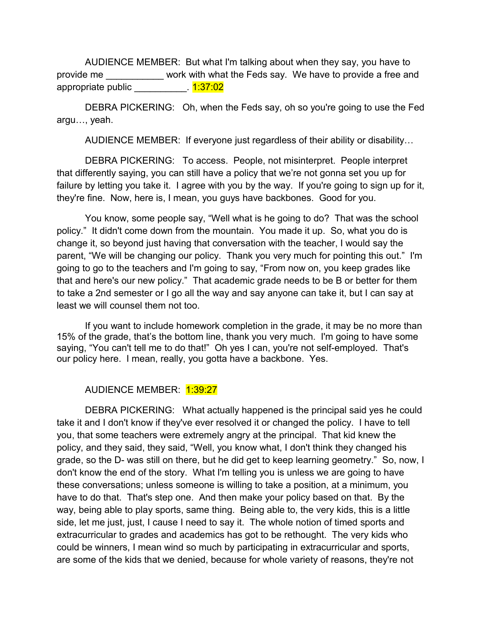AUDIENCE MEMBER: But what I'm talking about when they say, you have to provide me work with what the Feds say. We have to provide a free and appropriate public \_\_\_\_\_\_\_\_\_\_. 1:37:02

DEBRA PICKERING: Oh, when the Feds say, oh so you're going to use the Fed argu…, yeah.

AUDIENCE MEMBER: If everyone just regardless of their ability or disability…

DEBRA PICKERING: To access. People, not misinterpret. People interpret that differently saying, you can still have a policy that we're not gonna set you up for failure by letting you take it. I agree with you by the way. If you're going to sign up for it, they're fine. Now, here is, I mean, you guys have backbones. Good for you.

You know, some people say, "Well what is he going to do? That was the school policy." It didn't come down from the mountain. You made it up. So, what you do is change it, so beyond just having that conversation with the teacher, I would say the parent, "We will be changing our policy. Thank you very much for pointing this out." I'm going to go to the teachers and I'm going to say, "From now on, you keep grades like that and here's our new policy." That academic grade needs to be B or better for them to take a 2nd semester or I go all the way and say anyone can take it, but I can say at least we will counsel them not too.

If you want to include homework completion in the grade, it may be no more than 15% of the grade, that's the bottom line, thank you very much. I'm going to have some saying, "You can't tell me to do that!" Oh yes I can, you're not self-employed. That's our policy here. I mean, really, you gotta have a backbone. Yes.

#### AUDIENCE MEMBER: 1:39:27

DEBRA PICKERING: What actually happened is the principal said yes he could take it and I don't know if they've ever resolved it or changed the policy. I have to tell you, that some teachers were extremely angry at the principal. That kid knew the policy, and they said, they said, "Well, you know what, I don't think they changed his grade, so the D- was still on there, but he did get to keep learning geometry." So, now, I don't know the end of the story. What I'm telling you is unless we are going to have these conversations; unless someone is willing to take a position, at a minimum, you have to do that. That's step one. And then make your policy based on that. By the way, being able to play sports, same thing. Being able to, the very kids, this is a little side, let me just, just, I cause I need to say it. The whole notion of timed sports and extracurricular to grades and academics has got to be rethought. The very kids who could be winners, I mean wind so much by participating in extracurricular and sports, are some of the kids that we denied, because for whole variety of reasons, they're not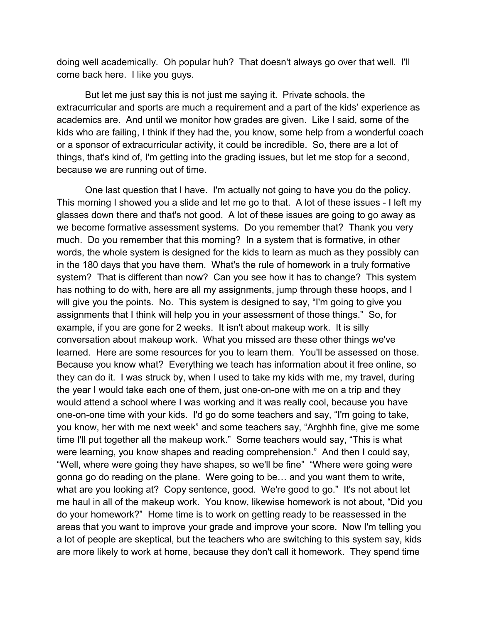doing well academically. Oh popular huh? That doesn't always go over that well. I'll come back here. I like you guys.

But let me just say this is not just me saying it. Private schools, the extracurricular and sports are much a requirement and a part of the kids' experience as academics are. And until we monitor how grades are given. Like I said, some of the kids who are failing, I think if they had the, you know, some help from a wonderful coach or a sponsor of extracurricular activity, it could be incredible. So, there are a lot of things, that's kind of, I'm getting into the grading issues, but let me stop for a second, because we are running out of time.

One last question that I have. I'm actually not going to have you do the policy. This morning I showed you a slide and let me go to that. A lot of these issues - I left my glasses down there and that's not good. A lot of these issues are going to go away as we become formative assessment systems. Do you remember that? Thank you very much. Do you remember that this morning? In a system that is formative, in other words, the whole system is designed for the kids to learn as much as they possibly can in the 180 days that you have them. What's the rule of homework in a truly formative system? That is different than now? Can you see how it has to change? This system has nothing to do with, here are all my assignments, jump through these hoops, and I will give you the points. No. This system is designed to say, "I'm going to give you assignments that I think will help you in your assessment of those things." So, for example, if you are gone for 2 weeks. It isn't about makeup work. It is silly conversation about makeup work. What you missed are these other things we've learned. Here are some resources for you to learn them. You'll be assessed on those. Because you know what? Everything we teach has information about it free online, so they can do it. I was struck by, when I used to take my kids with me, my travel, during the year I would take each one of them, just one-on-one with me on a trip and they would attend a school where I was working and it was really cool, because you have one-on-one time with your kids. I'd go do some teachers and say, "I'm going to take, you know, her with me next week" and some teachers say, "Arghhh fine, give me some time I'll put together all the makeup work." Some teachers would say, "This is what were learning, you know shapes and reading comprehension." And then I could say, "Well, where were going they have shapes, so we'll be fine" "Where were going were gonna go do reading on the plane. Were going to be… and you want them to write, what are you looking at? Copy sentence, good. We're good to go." It's not about let me haul in all of the makeup work. You know, likewise homework is not about, "Did you do your homework?" Home time is to work on getting ready to be reassessed in the areas that you want to improve your grade and improve your score. Now I'm telling you a lot of people are skeptical, but the teachers who are switching to this system say, kids are more likely to work at home, because they don't call it homework. They spend time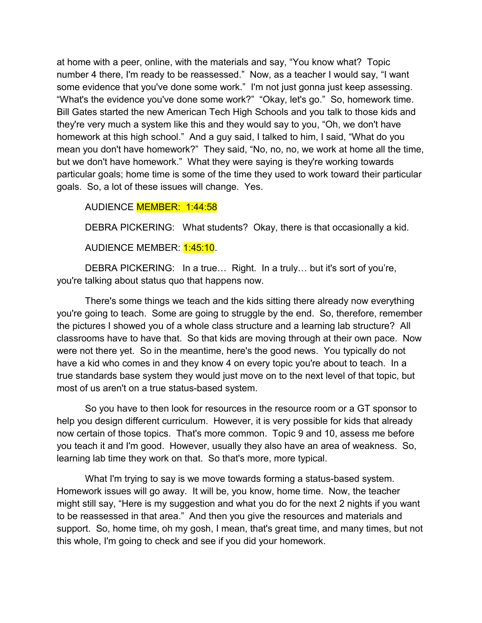at home with a peer, online, with the materials and say, "You know what? Topic number 4 there, I'm ready to be reassessed." Now, as a teacher I would say, "I want some evidence that you've done some work." I'm not just gonna just keep assessing. "What's the evidence you've done some work?" "Okay, let's go." So, homework time. Bill Gates started the new American Tech High Schools and you talk to those kids and they're very much a system like this and they would say to you, "Oh, we don't have homework at this high school." And a guy said, I talked to him, I said, "What do you mean you don't have homework?" They said, "No, no, no, we work at home all the time, but we don't have homework." What they were saying is they're working towards particular goals; home time is some of the time they used to work toward their particular goals. So, a lot of these issues will change. Yes.

#### AUDIENCE MEMBER: 1:44:58

DEBRA PICKERING: What students? Okay, there is that occasionally a kid.

#### AUDIENCE MEMBER: 1:45:10.

DEBRA PICKERING: In a true… Right. In a truly… but it's sort of you're, you're talking about status quo that happens now.

There's some things we teach and the kids sitting there already now everything you're going to teach. Some are going to struggle by the end. So, therefore, remember the pictures I showed you of a whole class structure and a learning lab structure? All classrooms have to have that. So that kids are moving through at their own pace. Now were not there yet. So in the meantime, here's the good news. You typically do not have a kid who comes in and they know 4 on every topic you're about to teach. In a true standards base system they would just move on to the next level of that topic, but most of us aren't on a true status-based system.

So you have to then look for resources in the resource room or a GT sponsor to help you design different curriculum. However, it is very possible for kids that already now certain of those topics. That's more common. Topic 9 and 10, assess me before you teach it and I'm good. However, usually they also have an area of weakness. So, learning lab time they work on that. So that's more, more typical.

What I'm trying to say is we move towards forming a status-based system. Homework issues will go away. It will be, you know, home time. Now, the teacher might still say, "Here is my suggestion and what you do for the next 2 nights if you want to be reassessed in that area." And then you give the resources and materials and support. So, home time, oh my gosh, I mean, that's great time, and many times, but not this whole, I'm going to check and see if you did your homework.